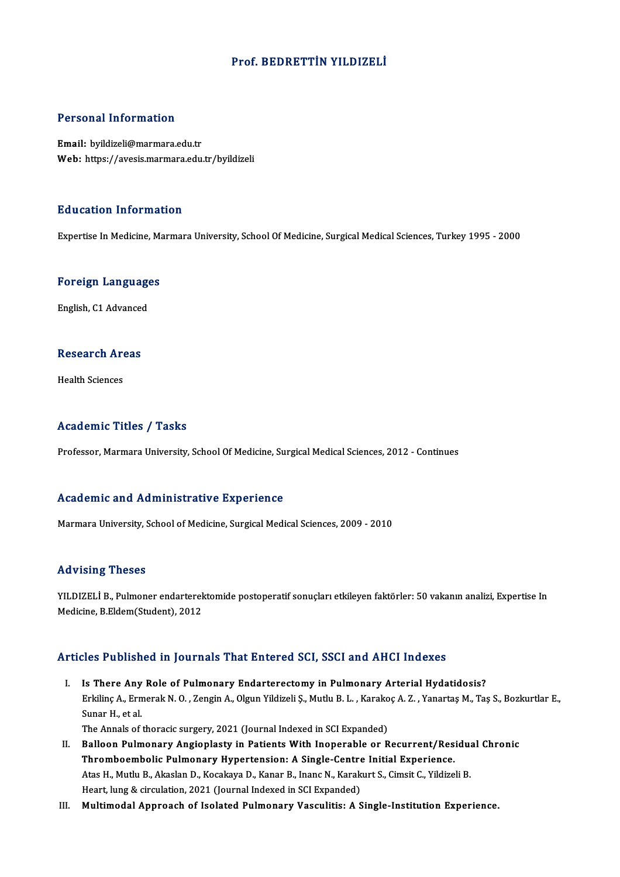## Prof. BEDRETTİN YILDIZELİ

## Personal Information

Email: byildizeli@marmara.edu.tr Web: https://avesis.marmara.edu.tr/byildizeli

## Education Information

Expertise In Medicine, Marmara University, School Of Medicine, Surgical Medical Sciences, Turkey 1995 - 2000

# experuse in medicine, ma<br>Foreign Languages <mark>Foreign Language</mark><br>English, C1 Advanced

# engusn, C1 Advanced<br>Research Areas R<mark>esearch Ar</mark><br>Health Sciences

# Academic Titles / Tasks

Professor, Marmara University, School Of Medicine, Surgical Medical Sciences, 2012 - Continues

### Academic and Administrative Experience

Marmara University, School of Medicine, Surgical Medical Sciences, 2009 - 2010

## Advising Theses

Advising Theses<br>YILDIZELİ B., Pulmoner endarterektomide postoperatif sonuçları etkileyen faktörler: 50 vakanın analizi, Expertise In<br>Medisine, B. Eldem(Student), 2012 rra viering i ricoco<br>YILDIZELİ B., Pulmoner endarterel<br>Medicine, B.Eldem(Student), 2012 Medicine, B.Eldem(Student), 2012<br>Articles Published in Journals That Entered SCI, SSCI and AHCI Indexes

- I. Is There Any Role of Pulmonary Endarterectomy in Pulmonary Arterial Hydatidosis? Erkilinç A., Ermerak I., O., Zengin A., Olgun Yildizeli Ş., Mutlu B. L. , Karakoç A. Z. , Yanartaş M., Taş S., Bozkurtlar E.,<br>Erkilinç A., Ermerak N. O. , Zengin A., Olgun Yildizeli Ş., Mutlu B. L. , Karakoç A. Z. , Yanart Is There Any<br>Erkilinç A., Ern<br>Sunar H., et al.<br>The Annals of Erkilinç A., Ermerak N. O. , Zengin A., Olgun Yildizeli Ş., Mutlu B. L. , Karako<br>Sunar H., et al.<br>The Annals of thoracic surgery, 2021 (Journal Indexed in SCI Expanded)<br>Pallaen Bulmenany, Angionlasty in Batients With Inone Sunar H., et al.<br>The Annals of thoracic surgery, 2021 (Journal Indexed in SCI Expanded)<br>II. Balloon Pulmonary Angioplasty in Patients With Inoperable or Recurrent/Residual Chronic<br>Thrembeembelis Pulmonary Hypertension: A S
- The Annals of thoracic surgery, 2021 (Journal Indexed in SCI Expanded)<br>Balloon Pulmonary Angioplasty in Patients With Inoperable or Recurrent/Res<br>Thromboembolic Pulmonary Hypertension: A Single-Centre Initial Experience.<br>A Balloon Pulmonary Angioplasty in Patients With Inoperable or Recurrent/Residu:<br>Thromboembolic Pulmonary Hypertension: A Single-Centre Initial Experience.<br>Atas H., Mutlu B., Akaslan D., Kocakaya D., Kanar B., Inanc N., Kara Thromboembolic Pulmonary Hypertension: A Single-Centre Initial Experience.<br>Atas H., Mutlu B., Akaslan D., Kocakaya D., Kanar B., Inanc N., Karakurt S., Cimsit C., Yildizeli B.<br>Heart, lung & circulation, 2021 (Journal Index
- III. Multimodal Approach of Isolated Pulmonary Vasculitis: A Single-Institution Experience.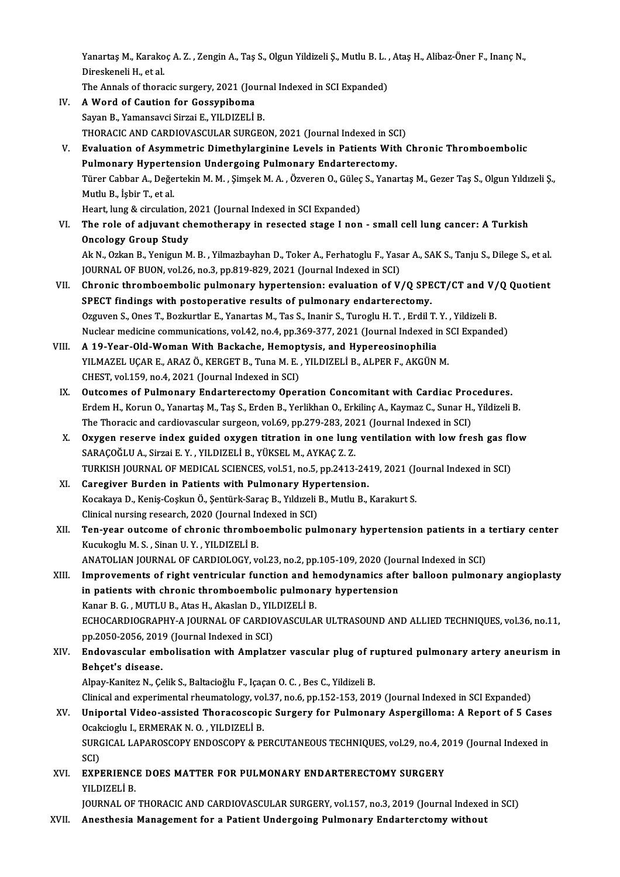Yanartaş M., Karakoç A. Z. , Zengin A., Taş S., Olgun Yildizeli Ş., Mutlu B. L. , Ataş H., Alibaz-Öner F., Inanç N.,<br>Dinaskapeli H. et al Yanartaş M., Karako<br>Direskeneli H., et al.<br>The Annala of thore Yanartaş M., Karakoç A. Z. , Zengin A., Taş S., Olgun Yildizeli Ş., Mutlu B. L. ,<br>Direskeneli H., et al.<br>The Annals of thoracic surgery, 2021 (Journal Indexed in SCI Expanded)<br>A Word of Coution for Cossunibome

Direskeneli H., et al.<br>The Annals of thoracic surgery, 2021 (Journal Indexed in SCI Expanded)<br>IV. A Word of Caution for Gossypiboma

- Sayan B., Yamansavci Sirzai E., YILDIZELİ B. THORACIC AND CARDIOVASCULAR SURGEON, 2021 (Journal Indexed in SCI) Sayan B., Yamansavci Sirzai E., YILDIZELİ B.<br>THORACIC AND CARDIOVASCULAR SURGEON, 2021 (Journal Indexed in SCI)<br>V. Evaluation of Asymmetric Dimethylarginine Levels in Patients With Chronic Thromboembolic<br>Pulmenary Hyno
- THORACIC AND CARDIOVASCULAR SURGEON, 2021 (Journal Indexed in SC)<br>Evaluation of Asymmetric Dimethylarginine Levels in Patients With<br>Pulmonary Hypertension Undergoing Pulmonary Endarterectomy.<br>Türer Cabbar A. Değertekin M.M Evaluation of Asymmetric Dimethylarginine Levels in Patients With Chronic Thromboembolic<br>Pulmonary Hypertension Undergoing Pulmonary Endarterectomy.<br>Türer Cabbar A., Değertekin M. M. , Şimşek M. A. , Özveren O., Güleç S., Pulmonary Hyperte<br>Türer Cabbar A., Değe<br>Mutlu B., İşbir T., et al.<br>Heart lung & sirsulati Türer Cabbar A., Değertekin M. M. , Şimşek M. A. , Özveren O., Güleç<br>Mutlu B., İşbir T., et al.<br>Heart, lung & circulation, 2021 (Journal Indexed in SCI Expanded)<br>The role of adiuyant shamatharany in resested stage I non Heart, lung & circulation, 2021 (Journal Indexed in SCI Expanded)
- Mutlu B., İşbir T., et al.<br>Heart, lung & circulation, 2021 (Journal Indexed in SCI Expanded)<br>VI. The role of adjuvant chemotherapy in resected stage I non small cell lung cancer: A Turkish<br>Oncology Group Study The role of adjuvant chemotherapy in resected stage I non - small cell lung cancer: A Turkish<br>Oncology Group Study<br>Ak N., Ozkan B., Yenigun M. B. , Yilmazbayhan D., Toker A., Ferhatoglu F., Yasar A., SAK S., Tanju S., Dile

Oncology Group Study<br>Ak N., Ozkan B., Yenigun M. B. , Yilmazbayhan D., Toker A., Ferhatoglu F., Yasa<br>JOURNAL OF BUON, vol.26, no.3, pp.819-829, 2021 (Journal Indexed in SCI)<br>Chronis thromboombolis pulmonory bynantonsion; e Ak N., Ozkan B., Yenigun M. B. , Yilmazbayhan D., Toker A., Ferhatoglu F., Yasar A., SAK S., Tanju S., Dilege S., et al.<br>JOURNAL OF BUON, vol.26, no.3, pp.819-829, 2021 (Journal Indexed in SCI)<br>VII. Chronic thromboembolic

- JOURNAL OF BUON, vol.26, no.3, pp.819-829, 2021 (Journal Indexed in SCI)<br>Chronic thromboembolic pulmonary hypertension: evaluation of V/Q SPE<br>SPECT findings with postoperative results of pulmonary endarterectomy.<br>Organize Chronic thromboembolic pulmonary hypertension: evaluation of V/Q SPECT/CT and V/<br>SPECT findings with postoperative results of pulmonary endarterectomy.<br>Ozguven S., Ones T., Bozkurtlar E., Yanartas M., Tas S., Inanir S., Tu SPECT findings with postoperative results of pulmonary endarterectomy.<br>Ozguven S., Ones T., Bozkurtlar E., Yanartas M., Tas S., Inanir S., Turoglu H. T. , Erdil T. Y. , Yildizeli B.<br>Nuclear medicine communications, vol.42, Ozguven S., Ones T., Bozkurtlar E., Yanartas M., Tas S., Inanir S., Turoglu H. T., Erdil T.<br>Nuclear medicine communications, vol.42, no.4, pp.369-377, 2021 (Journal Indexed in<br>VIII. A 19-Year-Old-Woman With Backache, Hemop
- Nuclear medicine communications, vol.42, no.4, pp.369-377, 2021 (Journal Indexed in S<br>A 19-Year-Old-Woman With Backache, Hemoptysis, and Hypereosinophilia<br>YILMAZEL UÇAR E., ARAZ Ö., KERGET B., Tuna M. E. , YILDIZELİ B., AL A 19-Year-Old-Woman With Backache, Hemop<br>YILMAZEL UÇAR E., ARAZ Ö., KERGET B., Tuna M. E.<br>CHEST, vol.159, no.4, 2021 (Journal Indexed in SCI)<br>Qutsomes of Bulmonary Enderterectomy Oper YILMAZEL UÇAR E., ARAZ Ö., KERGET B., Tuna M. E., YILDIZELİ B., ALPER F., AKGÜN M.<br>CHEST, vol.159, no.4, 2021 (Journal Indexed in SCI)<br>IX. Outcomes of Pulmonary Endarterectomy Operation Concomitant with Cardiac Procedures.
- CHEST, vol.159, no.4, 2021 (Journal Indexed in SCI)<br>Outcomes of Pulmonary Endarterectomy Operation Concomitant with Cardiac Procedures.<br>Erdem H., Korun O., Yanartaş M., Taş S., Erden B., Yerlikhan O., Erkilinç A., Kaymaz C Outcomes of Pulmonary Endarterectomy Operation Concomitant with Cardiac Pro<br>Erdem H., Korun O., Yanartaş M., Taş S., Erden B., Yerlikhan O., Erkilinç A., Kaymaz C., Sunar H.<br>The Thoracic and cardiovascular surgeon, vol.69, Erdem H., Korun O., Yanartaş M., Taş S., Erden B., Yerlikhan O., Erkilinç A., Kaymaz C., Sunar H., Yildizeli B.<br>The Thoracic and cardiovascular surgeon, vol.69, pp.279-283, 2021 (Journal Indexed in SCI)<br>X. Oxygen reserve i
- The Thoracic and cardiovascular surgeon, vol.69, pp.279-283, 2021 (Journal Indexed in SCI)<br>Oxygen reserve index guided oxygen titration in one lung ventilation with low fre<br>SARAÇOĞLU A., Sirzai E.Y., YILDIZELİ B., YÜKSEL M Oxygen reserve index guided oxygen titration in one lung ventilation with low fresh gas fl<br>SARAÇOĞLU A., Sirzai E. Y. , YILDIZELİ B., YÜKSEL M., AYKAÇ Z. Z.<br>TURKISH JOURNAL OF MEDICAL SCIENCES, vol.51, no.5, pp.2413-2419, SARAÇOĞLU A., Sirzai E. Y., YILDIZELİ B., YÜKSEL M., AYKAÇ Z. Z.<br>TURKISH JOURNAL OF MEDICAL SCIENCES, vol.51, no.5, pp.2413-24<br>XI. Caregiver Burden in Patients with Pulmonary Hypertension.<br>Kosakaya D. Kanja Cashun Ö. Santü
- TURKISH JOURNAL OF MEDICAL SCIENCES, vol.51, no.5, pp.2413-2419, 2021 (Journal Indexed in SCI)<br>Caregiver Burden in Patients with Pulmonary Hypertension.<br>Kocakaya D., Keniş-Coşkun Ö., Şentürk-Saraç B., Yıldızeli B., Mutlu B Caregiver Burden in Patients with Pulmonary Hyp<br>Kocakaya D., Keniş-Coşkun Ö., Şentürk-Saraç B., Yıldızeli I<br>Clinical nursing research, 2020 (Journal Indexed in SCI)<br>Ten year outseme of shranis thrembeembelis pul
- Kocakaya D., Keniş-Coşkun Ö., Şentürk-Saraç B., Yıldızeli B., Mutlu B., Karakurt S.<br>Clinical nursing research, 2020 (Journal Indexed in SCI)<br>XII. Ten-year outcome of chronic thromboembolic pulmonary hypertension patien Clinical nursing research, 2020 (Journal In<br>Ten-year outcome of chronic thromb<br>Kucukoglu M. S. , Sinan U. Y. , YILDIZELİ B.<br>ANATOLIAN JOUPMAL OF CAPPIOLOCY v Ten-year outcome of chronic thromboembolic pulmonary hypertension patients in a<br>Kucukoglu M. S. , Sinan U. Y. , YILDIZELİ B.<br>ANATOLIAN JOURNAL OF CARDIOLOGY, vol.23, no.2, pp.105-109, 2020 (Journal Indexed in SCI)<br>Improvem Kucukoglu M. S. , Sinan U. Y. , YILDIZELİ B.<br>ANATOLIAN JOURNAL OF CARDIOLOGY, vol.23, no.2, pp.105-109, 2020 (Journal Indexed in SCI)<br>XIII. Improvements of right ventricular function and hemodynamics after balloon pulmonar
- ANATOLIAN JOURNAL OF CARDIOLOGY, vol.23, no.2, pp.105-109, 2020 (Jou<br>Improvements of right ventricular function and hemodynamics after<br>in patients with chronic thromboembolic pulmonary hypertension<br>Kanar B.C., MUTU B., Ata Improvements of right ventricular function and hemodynamics after balloon pulmonary angioplasty<br>in patients with chronic thromboembolic pulmonary hypertension<br>Kanar B. G. , MUTLU B., Atas H., Akaslan D., YILDIZELİ B. in patients with chronic thromboembolic pulmonary hypertension<br>Kanar B. G. , MUTLU B., Atas H., Akaslan D., YILDIZELİ B.<br>ECHOCARDIOGRAPHY-A JOURNAL OF CARDIOVASCULAR ULTRASOUND AND ALLIED TECHNIQUES, vol.36, no.11,<br>nn 2050 Kanar B. G. , MUTLU B., Atas H., Akaslan D., YIL<br>ECHOCARDIOGRAPHY-A JOURNAL OF CARDIC<br>pp.2050-2056, 2019 (Journal Indexed in SCI)<br>Endovescular embolisation with Ampleta ECHOCARDIOGRAPHY-A JOURNAL OF CARDIOVASCULAR ULTRASOUND AND ALLIED TECHNIQUES, vol.36, no.11,<br>pp.2050-2056, 2019 (Journal Indexed in SCI)<br>XIV. Endovascular embolisation with Amplatzer vascular plug of ruptured pulmonary ar
- pp.2050-2056, 2019 (Journal Indexed in SCI)<br>XIV. Endovascular embolisation with Amplatzer vascular plug of ruptured pulmonary artery aneurism in<br>Behçet's disease.

Alpay-Kanitez N., Çelik S., Baltacioğlu F., Içaçan O. C., Bes C., Yildizeli B.

Clinical and experimental rheumatology, vol.37, no.6, pp.152-153, 2019 (Journal Indexed in SCI Expanded)

- Alpay-Kanitez N., Çelik S., Baltacioğlu F., Içaçan O. C. , Bes C., Yildizeli B.<br>Clinical and experimental rheumatology, vol.37, no.6, pp.152-153, 2019 (Journal Indexed in SCI Expanded)<br>XV. Uniportal Video-assisted Thor Clinical and experimental rheumatology, voluminor and video-assisted Thoracoscopi<br>Ocakcioglu I., ERMERAK N. O. , YILDIZELİ B.<br>SURCICAL LARAROSCORY ENDOSCORY & PI Uniportal Video-assisted Thoracoscopic Surgery for Pulmonary Aspergilloma: A Report of 5 Cases<br>Ocakcioglu I., ERMERAK N. O. , YILDIZELİ B.<br>SURGICAL LAPAROSCOPY ENDOSCOPY & PERCUTANEOUS TECHNIQUES, vol.29, no.4, 2019 (Journ Ocakcioglu I., ERMERAK N. O. , YILDIZELİ B.<br>SURGICAL LAPAROSCOPY ENDOSCOPY & PERCUTANEOUS TECHNIQUES, vol.29, no.4, 2019 (Journal Indexed in<br>SCI)
- SURGICAL LAPAROSCOPY ENDOSCOPY & PERCUTANEOUS TECHNIQUES, vol.29, no.4, 2<br>SCI)<br>XVI. EXPERIENCE DOES MATTER FOR PULMONARY ENDARTERECTOMY SURGERY<br>XVI DIZELLE SCI)<br><mark>EXPERIENC</mark><br>YILDIZELİ B.<br>IOUPNAL OF

YILDIZELİ B.<br>JOURNAL OF THORACIC AND CARDIOVASCULAR SURGERY, vol.157, no.3, 2019 (Journal Indexed in SCI)

XVII. Anesthesia Management for a Patient Undergoing Pulmonary Endarterctomy without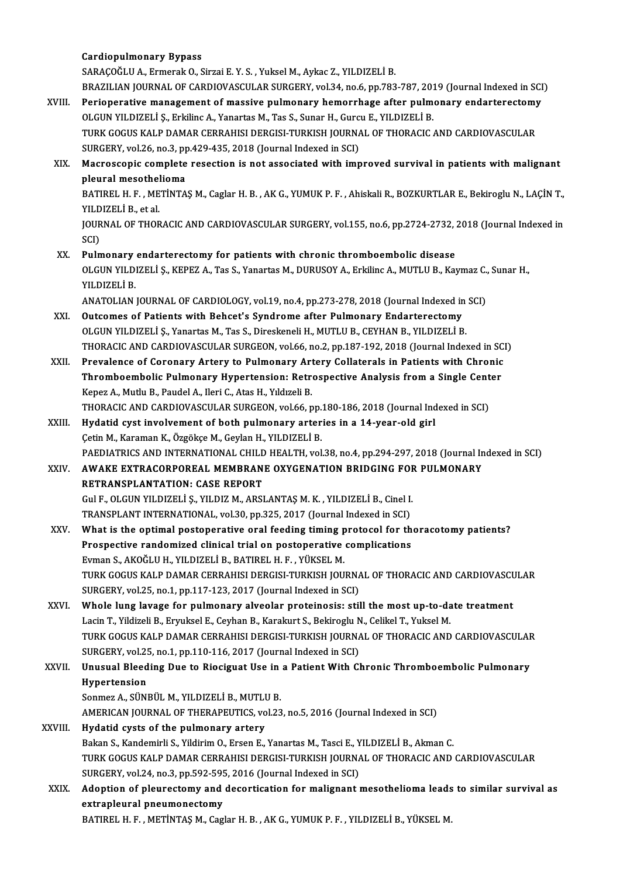## Cardiopulmonary Bypass

SARAÇOĞLU A., Ermerak O., Sirzai E. Y. S., Yuksel M., Aykac Z., YILDIZELİ B. Cardiopulmonary Bypass<br>SARAÇOĞLU A., Ermerak O., Sirzai E. Y. S. , Yuksel M., Aykac Z., YILDIZELİ B.<br>BRAZILIAN JOURNAL OF CARDIOVASCULAR SURGERY, vol.34, no.6, pp.783-787, 2019 (Journal Indexed in SCI)<br>Perioperative manage XVIII. Perioperative management of massive pulmonary hemorrhage after pulmonary endarterectomy<br>OLGUN YILDIZELİ Ş., Erkilinc A., Yanartas M., Tas S., Sunar H., Gurcu E., YILDIZELİ B. BRAZILIAN JOURNAL OF CARDIOVASCULAR SURGERY, vol.34, no.6, pp.783-787, 201<br>Perioperative management of massive pulmonary hemorrhage after pulm<br>OLGUN YILDIZELİ Ş., Erkilinc A., Yanartas M., Tas S., Sunar H., Gurcu E., YILDI Perioperative management of massive pulmonary hemorrhage after pulmonary endarterectomy<br>OLGUN YILDIZELİ Ş., Erkilinc A., Yanartas M., Tas S., Sunar H., Gurcu E., YILDIZELİ B.<br>TURK GOGUS KALP DAMAR CERRAHISI DERGISI-TURKISH OLGUN YILDIZELİ Ş., Erkilinc A., Yanartas M., Tas S., Sunar H., Gurc<br>TURK GOGUS KALP DAMAR CERRAHISI DERGISI-TURKISH JOURNA<br>SURGERY, vol.26, no.3, pp.429-435, 2018 (Journal Indexed in SCI)<br>Magressonis somplate resection is TURK GOGUS KALP DAMAR CERRAHISI DERGISI-TURKISH JOURNAL OF THORACIC AND CARDIOVASCULAR<br>SURGERY, vol.26, no.3, pp.429-435, 2018 (Journal Indexed in SCI)<br>XIX. Macroscopic complete resection is not associated with improved su SURGERY, vol.26, no.3, pp.429-435, 2018 (Journal Indexed in SCI)<br>Macroscopic complete resection is not associated with improved survival in patients with malignant<br>pleural mesothelioma Macroscopic complete resection is not associated with improved survival in patients with malignant<br>pleural mesothelioma<br>BATIREL H. F. , METİNTAŞ M., Caglar H. B. , AK G., YUMUK P. F. , Ahiskali R., BOZKURTLAR E., Bekiroglu pleural mesothel<br>BATIREL H. F. , ME<br>YILDIZELİ B., et al.<br>JOUPMAL OF THOP BATIREL H. F. , METİNTAŞ M., Caglar H. B. , AK G., YUMUK P. F. , Ahiskali R., BOZKURTLAR E., Bekiroglu N., LAÇİN T.,<br>YILDIZELİ B., et al.<br>JOURNAL OF THORACIC AND CARDIOVASCULAR SURGERY, vol.155, no.6, pp.2724-2732, 2018 (J YILDIZELİ B., et al.<br>JOURNAL OF THORACIC AND CARDIOVASCULAR SURGERY, vol.155, no.6, pp.2724-2732, 2018 (Journal Indexed in<br>SCI) JOURNAL OF THORACIC AND CARDIOVASCULAR SURGERY, vol.155, no.6, pp.2724-2732, :<br>SCI)<br>XX. Pulmonary endarterectomy for patients with chronic thromboembolic disease<br>OLCUN VII DIZELLS KEDEZ A Tos S. Venertes M. DUBUSOV A Exist SCI)<br>Pulmonary endarterectomy for patients with chronic thromboembolic disease<br>OLGUN YILDIZELİ Ş., KEPEZ A., Tas S., Yanartas M., DURUSOY A., Erkilinc A., MUTLU B., Kaymaz C., Sunar H.,<br>YU DIZELİ P Pul<mark>monary</mark><br>OLGUN YILDI<br>YILDIZELİ B.<br>ANATOLIAN OLGUN YILDIZELİ Ş., KEPEZ A., Tas S., Yanartas M., DURUSOY A., Erkilinc A., MUTLU B., Kaymaz C.,<br>YILDIZELİ B.<br>ANATOLIAN JOURNAL OF CARDIOLOGY, vol.19, no.4, pp.273-278, 2018 (Journal Indexed in SCI)<br>Quteemee of Patients wi XILDIZELI B.<br>ANATOLIAN JOURNAL OF CARDIOLOGY, vol.19, no.4, pp.273-278, 2018 (Journal Indexed in<br>XXI. Outcomes of Patients with Behcet's Syndrome after Pulmonary Endarterectomy<br>OLGUN VU DIZELLS, Venertes M. Tes S. Director ANATOLIAN JOURNAL OF CARDIOLOGY, vol.19, no.4, pp.273-278, 2018 (Journal Indexed in<br>Outcomes of Patients with Behcet's Syndrome after Pulmonary Endarterectomy<br>OLGUN YILDIZELİ Ş., Yanartas M., Tas S., Direskeneli H., MUTLU Outcomes of Patients with Behcet's Syndrome after Pulmonary Endarterectomy<br>OLGUN YILDIZELI Ș., Yanartas M., Tas S., Direskeneli H., MUTLU B., CEYHAN B., YILDIZELI B.<br>THORACIC AND CARDIOVASCULAR SURGEON, vol.66, no.2, pp.18 OLGUN YILDIZELİ Ş., Yanartas M., Tas S., Direskeneli H., MUTLU B., CEYHAN B., YILDIZELİ B.<br>THORACIC AND CARDIOVASCULAR SURGEON, vol.66, no.2, pp.187-192, 2018 (Journal Indexed in SC.<br>XXII. Prevalence of Coronary Artery to THORACIC AND CARDIOVASCULAR SURGEON, vol.66, no.2, pp.187-192, 2018 (Journal Indexed in SC<br>Prevalence of Coronary Artery to Pulmonary Artery Collaterals in Patients with Chronic<br>Thromboembolic Pulmonary Hypertension: Retro Prevalence of Coronary Artery to Pulmonary Artery Collaterals in Patients with Chronic<br>Thromboembolic Pulmonary Hypertension: Retrospective Analysis from a Single Center<br>Kepez A., Mutlu B., Paudel A., Ileri C., Atas H., Yı Thromboembolic Pulmonary Hypertension: Retrospective Analysis from a Single Cent<br>Kepez A., Mutlu B., Paudel A., Ileri C., Atas H., Yıldızeli B.<br>THORACIC AND CARDIOVASCULAR SURGEON, vol.66, pp.180-186, 2018 (Journal Indexed Kepez A., Mutlu B., Paudel A., Ileri C., Atas H., Yıldızeli B.<br>THORACIC AND CARDIOVASCULAR SURGEON, vol.66, pp.180-186, 2018 (Journal Ind<br>XXIII. Hydatid cyst involvement of both pulmonary arteries in a 14-year-old girl<br>Cot THORACIC AND CARDIOVASCULAR SURGEON, vol.66, pp.<br>Hydatid cyst involvement of both pulmonary arter<br>Çetin M., Karaman K., Özgökçe M., Geylan H., YILDIZELİ B.<br>RAEDIATRICS AND INTERNATIONAL CHILD HEALTH vol Hydatid cyst involvement of both pulmonary arteries in a 14-year-old girl<br>Çetin M., Karaman K., Özgökçe M., Geylan H., YILDIZELİ B.<br>PAEDIATRICS AND INTERNATIONAL CHILD HEALTH, vol.38, no.4, pp.294-297, 2018 (Journal Indexe Cetin M., Karaman K., Özgökçe M., Geylan H., YILDIZELİ B.<br>PAEDIATRICS AND INTERNATIONAL CHILD HEALTH, vol.38, no.4, pp.294-297, 2018 (Journal In<br>XXIV. AWAKE EXTRACORPOREAL MEMBRANE OXYGENATION BRIDGING FOR PULMONARY<br>PE AWAKE EXTRACORPOREAL MEMBRANE OXYGENATION BRIDGING FOR PULMONARY RETRANSPLANTATION: CASE REPORT AWAKE EXTRACORPOREAL MEMBRANE OXYGENATION BRIDGING FOR<br>RETRANSPLANTATION: CASE REPORT<br>GulF., OLGUN YILDIZELİ Ş., YILDIZ M., ARSLANTAŞ M. K. , YILDIZELİ B., Cinel I.<br>TRANSPLANT INTERNATIONAL .val 20. pp. 225–2017 (Jaurpal I RETRANSPLANTATION: CASE REPORT<br>Gul F., OLGUN YILDIZELİ Ş., YILDIZ M., ARSLANTAŞ M. K. , YILDIZELİ B., Cinel I.<br>TRANSPLANT INTERNATIONAL, vol.30, pp.325, 2017 (Journal Indexed in SCI)<br>What is the entimal pestanenstive enal XXV. What is the optimal postoperative oral feeding timing protocol for thoracotomy patients? TRANSPLANT INTERNATIONAL, vol.30, pp.325, 2017 (Journal Indexed in SCI)<br>What is the optimal postoperative oral feeding timing protocol for the<br>Prospective randomized clinical trial on postoperative complications<br>Figure 8, What is the optimal postoperative oral feeding timing p<br>Prospective randomized clinical trial on postoperative<br>Evman S., AKOĞLU H., YILDIZELİ B., BATIREL H. F. , YÜKSEL M.<br>TURK COCUS KALP DAMAR GERRAHISI DERCISI TURKISH JO Prospective randomized clinical trial on postoperative complications<br>Evman S., AKOĞLU H., YILDIZELİ B., BATIREL H. F. , YÜKSEL M.<br>TURK GOGUS KALP DAMAR CERRAHISI DERGISI-TURKISH JOURNAL OF THORACIC AND CARDIOVASCULAR<br>SURCE Evman S., AKOĞLU H., YILDIZELİ B., BATIREL H. F. , YÜKSEL M.<br>TURK GOGUS KALP DAMAR CERRAHISI DERGISI-TURKISH JOURNA<br>SURGERY, vol.25, no.1, pp.117-123, 2017 (Journal Indexed in SCI)<br>Whole lung lavage for pulmonary alveelar TURK GOGUS KALP DAMAR CERRAHISI DERGISI-TURKISH JOURNAL OF THORACIC AND CARDIOVASCU<br>SURGERY, vol.25, no.1, pp.117-123, 2017 (Journal Indexed in SCI)<br>XXVI. Whole lung lavage for pulmonary alveolar proteinosis: still the mos SURGERY, vol.25, no.1, pp.117-123, 2017 (Journal Indexed in SCI)<br>Whole lung lavage for pulmonary alveolar proteinosis: still the most up-to-da<br>Lacin T., Yildizeli B., Eryuksel E., Ceyhan B., Karakurt S., Bekiroglu N., Celi Whole lung lavage for pulmonary alveolar proteinosis: still the most up-to-date treatment<br>Lacin T., Yildizeli B., Eryuksel E., Ceyhan B., Karakurt S., Bekiroglu N., Celikel T., Yuksel M.<br>TURK GOGUS KALP DAMAR CERRAHISI DER Lacin T., Yildizeli B., Eryuksel E., Ceyhan B., Karakurt S., Bekiroglu N<br>TURK GOGUS KALP DAMAR CERRAHISI DERGISI-TURKISH JOURNA<br>SURGERY, vol.25, no.1, pp.110-116, 2017 (Journal Indexed in SCI)<br>Unusual Blaeding Due to Biogi TURK GOGUS KALP DAMAR CERRAHISI DERGISI-TURKISH JOURNAL OF THORACIC AND CARDIOVASCULAF<br>SURGERY, vol.25, no.1, pp.110-116, 2017 (Journal Indexed in SCI)<br>XXVII. Unusual Bleeding Due to Riociguat Use in a Patient With Chronic SURGERY, vol.25<br>Unusual Bleed<br>Hypertension<br>Sonmez A. SÜNI Unusual Bleeding Due to Riociguat Use in<br>Hypertension<br>Sonmez A., SÜNBÜL M., YILDIZELİ B., MUTLU B.<br>AMERICAN IQURNAL OF THERAREUTICS vol 22 Hypertension<br>Sonmez A., SÜNBÜL M., YILDIZELİ B., MUTLU B.<br>AMERICAN JOURNAL OF THERAPEUTICS, vol.23, no.5, 2016 (Journal Indexed in SCI)<br>Hudatid avets of the nulmoneny artery Sonmez A., SÜNBÜL M., YILDIZELİ B., MUTLU B.<br>AMERICAN JOURNAL OF THERAPEUTICS, vol.23, no.5, 2016 (Journal Indexed in SCI)<br>XXVIII. Hydatid cysts of the pulmonary artery<br>Bakan S., Kandemirli S., Yildirim O., Ersen E., Y AMERICAN JOURNAL OF THERAPEUTICS, vol.23, no.5, 2016 (Journal Indexed in SCI)<br>Hydatid cysts of the pulmonary artery<br>Bakan S., Kandemirli S., Yildirim O., Ersen E., Yanartas M., Tasci E., YILDIZELİ B., Akman C.<br>TURK COCUS K Hydatid cysts of the pulmonary artery<br>Bakan S., Kandemirli S., Yildirim O., Ersen E., Yanartas M., Tasci E., YILDIZELİ B., Akman C.<br>TURK GOGUS KALP DAMAR CERRAHISI DERGISI-TURKISH JOURNAL OF THORACIC AND CARDIOVASCULAR<br>SUR Bakan S., Kandemirli S., Yildirim O., Ersen E., Yanartas M., Tasci E., Y<br>TURK GOGUS KALP DAMAR CERRAHISI DERGISI-TURKISH JOURNA<br>SURGERY, vol.24, no.3, pp.592-595, 2016 (Journal Indexed in SCI)<br>Adontion of plaunastomy and d TURK GOGUS KALP DAMAR CERRAHISI DERGISI-TURKISH JOURNAL OF THORACIC AND CARDIOVASCULAR<br>SURGERY, vol.24, no.3, pp.592-595, 2016 (Journal Indexed in SCI)<br>XXIX. Adoption of pleurectomy and decortication for malignant mesothel SURGERY, vol.24, no.3, pp.592-595<br>Adoption of pleurectomy and<br>extrapleural pneumonectomy<br>BATIDEL H. E. METINTAS M. Cod Adoption of pleurectomy and decortication for malignant mesothelioma leads to similar survival as<br>extrapleural pneumonectomy<br>BATIREL H. F. , METİNTAŞ M., Caglar H. B. , AK G., YUMUK P. F. , YILDIZELİ B., YÜKSEL M.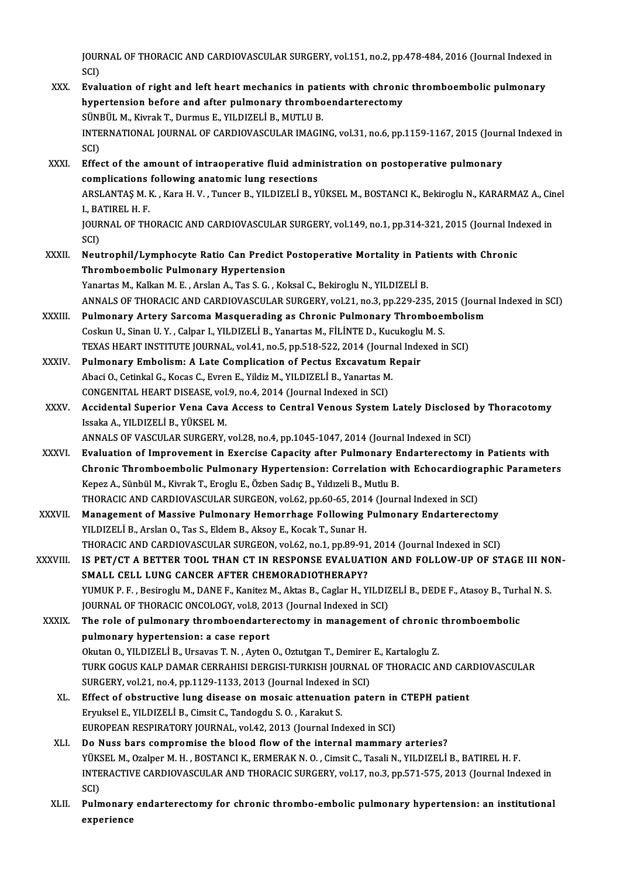JOURNAL OF THORACIC AND CARDIOVASCULAR SURGERY, vol.151, no.2, pp.478-484, 2016 (Journal Indexed in<br>SCD JOUR<br>SCI)<br>Eval JOURNAL OF THORACIC AND CARDIOVASCULAR SURGERY, vol.151, no.2, pp.478-484, 2016 (Journal Indexed is<br>SCI)<br>XXX. Evaluation of right and left heart mechanics in patients with chronic thromboembolic pulmonary<br>hypertension befo

- SCI)<br>Evaluation of right and left heart mechanics in patients with chronic<br>hypertension before and after pulmonary thromboendarterectomy<br>SÜNPÜLM, Kivplk T. Durmus E. VU DIZELLP, MUTH U.P. Evaluation of right and left heart mechanics in pati<br>hypertension before and after pulmonary thrombo<br>SÜNBÜL M., Kivrak T., Durmus E., YILDIZELİ B., MUTLU B.<br>INTERNATIONAL JOURNAL OF CARDIOVASCULAR IMACU hypertension before and after pulmonary thromboendarterectomy<br>SÜNBÜL M., Kivrak T., Durmus E., YILDIZELİ B., MUTLU B.<br>INTERNATIONAL JOURNAL OF CARDIOVASCULAR IMAGING, vol.31, no.6, pp.1159-1167, 2015 (Journal Indexed in<br>SC SÜNI<br>INTE<br>SCI)<br>Effe: INTERNATIONAL JOURNAL OF CARDIOVASCULAR IMAGING, vol.31, no.6, pp.1159-1167, 2015 (Journ<br>SCI)<br>XXXI. Effect of the amount of intraoperative fluid administration on postoperative pulmonary<br>complications following anatomic lu SCI)<br>Effect of the amount of intraoperative fluid administration on postoperative pulmonary<br>complications following anatomic lung resections
- Effect of the amount of intraoperative fluid administration on postoperative pulmonary<br>complications following anatomic lung resections<br>ARSLANTAŞ M. K. , Kara H. V. , Tuncer B., YILDIZELİ B., YÜKSEL M., BOSTANCI K., Bekiro **complications<br>ARSLANTAŞ M. I<br>I., BATIREL H. F.<br>IOUPNAL OF TH** ARSLANTAŞ M. K. , Kara H. V. , Tuncer B., YILDIZELİ B., YÜKSEL M., BOSTANCI K., Bekiroglu N., KARARMAZ A., Cin<br>I., BATIREL H. F.<br>JOURNAL OF THORACIC AND CARDIOVASCULAR SURGERY, vol.149, no.1, pp.314-321, 2015 (Journal Inde I., BATIREL H. F.<br>JOURNAL OF THORACIC AND CARDIOVASCULAR SURGERY, vol.149, no.1, pp.314-321, 2015 (Journal Indexed in<br>SCI) JOURNAL OF THORACIC AND CARDIOVASCULAR SURGERY, vol.149, no.1, pp.314-321, 2015 (Journal Ind<br>SCI)<br>XXXII. Neutrophil/Lymphocyte Ratio Can Predict Postoperative Mortality in Patients with Chronic<br>Thromboombolic Pulmonary Hyp
- SCI)<br>Neutrophil/Lymphocyte Ratio Can Predict I<br>Thromboembolic Pulmonary Hypertension<br>Yanartas M. Kalkan M. E. Arelan A. Tas S. C. Ka Neutrophil/Lymphocyte Ratio Can Predict Postoperative Mortality in Pat<br>Thromboembolic Pulmonary Hypertension<br>Yanartas M., Kalkan M. E. , Arslan A., Tas S. G. , Koksal C., Bekiroglu N., YILDIZELİ B.<br>ANNALS OF THOPACIC AND C Thromboembolic Pulmonary Hypertension<br>Yanartas M., Kalkan M. E. , Arslan A., Tas S. G. , Koksal C., Bekiroglu N., YILDIZELİ B.<br>ANNALS OF THORACIC AND CARDIOVASCULAR SURGERY, vol.21, no.3, pp.229-235, 2015 (Journal Indexed
- Yanartas M., Kalkan M. E. , Arslan A., Tas S. G. , Koksal C., Bekiroglu N., YILDIZELİ B.<br>ANNALS OF THORACIC AND CARDIOVASCULAR SURGERY, vol.21, no.3, pp.229-235, 2015 (Journ<br>XXXIII. Pulmonary Artery Sarcoma Masquerading as ANNALS OF THORACIC AND CARDIOVASCULAR SURGERY, vol.21, no.3, pp.229-235, 20<br>Pulmonary Artery Sarcoma Masquerading as Chronic Pulmonary Thromboel<br>Coskun U., Sinan U.Y., Calpar I., YILDIZELİ B., Yanartas M., FİLİNTE D., Kucu Pulmonary Artery Sarcoma Masquerading as Chronic Pulmonary Thromboemboli<br>Coskun U., Sinan U. Y. , Calpar I., YILDIZELİ B., Yanartas M., FİLİNTE D., Kucukoglu M. S.<br>TEXAS HEART INSTITUTE JOURNAL, vol.41, no.5, pp.518-522, 2 Coskun U., Sinan U. Y., Calpar I., YILDIZELİ B., Yanartas M., FİLİNTE D., Kucukoglu<br>TEXAS HEART INSTITUTE JOURNAL, vol.41, no.5, pp.518-522, 2014 (Journal Inde<br>XXXIV. Pulmonary Embolism: A Late Complication of Pectus Excav
- TEXAS HEART INSTITUTE JOURNAL, vol.41, no.5, pp.518-522, 2014 (Journ<br>Pulmonary Embolism: A Late Complication of Pectus Excavatum R<br>Abaci O., Cetinkal G., Kocas C., Evren E., Yildiz M., YILDIZELİ B., Yanartas M.<br>CONCENITAL Pulmonary Embolism: A Late Complication of Pectus Excavatum Repair<br>Abaci O., Cetinkal G., Kocas C., Evren E., Yildiz M., YILDIZELİ B., Yanartas M.<br>CONGENITAL HEART DISEASE, vol.9, no.4, 2014 (Journal Indexed in SCI)
- Abaci O., Cetinkal G., Kocas C., Evren E., Yildiz M., YILDIZELİ B., Yanartas M.<br>CONGENITAL HEART DISEASE, vol.9, no.4, 2014 (Journal Indexed in SCI)<br>XXXV. Accidental Superior Vena Cava Access to Central Venous System La CONGENITAL HEART DISEASE, vol.<br>Accidental Superior Vena Cava<br>Issaka A., YILDIZELİ B., YÜKSEL M.<br>ANNALS OF VASCULAR SUPCERY Accidental Superior Vena Cava Access to Central Venous System Lately Disclosed<br>Issaka A., YILDIZELİ B., YÜKSEL M.<br>ANNALS OF VASCULAR SURGERY, vol.28, no.4, pp.1045-1047, 2014 (Journal Indexed in SCI)<br>Evaluation of Improvem Issaka A., YILDIZELI B., YÜKSEL M.<br>ANNALS OF VASCULAR SURGERY, vol.28, no.4, pp.1045-1047, 2014 (Journal Indexed in SCI)<br>XXXVI. Evaluation of Improvement in Exercise Capacity after Pulmonary Endarterectomy in Patients

- ANNALS OF VASCULAR SURGERY, vol.28, no.4, pp.1045-1047, 2014 (Journal Indexed in SCI)<br>Evaluation of Improvement in Exercise Capacity after Pulmonary Endarterectomy in Patients with<br>Chronic Thromboembolic Pulmonary Hyperten Kepez A., Sünbül M., Kivrak T., Eroglu E., Özben Sadıç B., Yıldızeli B., Mutlu B. Chronic Thromboembolic Pulmonary Hypertension: Correlation with Echocardiogra<br>Kepez A., Sünbül M., Kivrak T., Eroglu E., Özben Sadıç B., Yıldızeli B., Mutlu B.<br>THORACIC AND CARDIOVASCULAR SURGEON, vol.62, pp.60-65, 2014 (J THORACIC AND CARDIOVASCULAR SURGEON, vol.62, pp.60-65, 2014 (Journal Indexed in SCI)<br>XXXVII. Management of Massive Pulmonary Hemorrhage Following Pulmonary Endarterectomy
- YILDIZELİ B., Arslan O., Tas S., Eldem B., Aksoy E., Kocak T., Sunar H. THORACIC AND CARDIOVASCULAR SURGEON, vol.62, no.1, pp.89-91, 2014 (Journal Indexed in SCI) YILDIZELİ B., Arslan O., Tas S., Eldem B., Aksoy E., Kocak T., Sunar H.<br>THORACIC AND CARDIOVASCULAR SURGEON, vol.62, no.1, pp.89-91, 2014 (Journal Indexed in SCI)<br>XXXVIII. IS PET/CT A BETTER TOOL THAN CT IN RESPONSE EVALUA

THORACIC AND CARDIOVASCULAR SURGEON, vol.62, no.1, pp.89-91<br>IS PET/CT A BETTER TOOL THAN CT IN RESPONSE EVALUAT<br>SMALL CELL LUNG CANCER AFTER CHEMORADIOTHERAPY?<br>VIMUK B E - Besinesh: M. DANE E Kanitar M. Altas B. Caslar H. IS PET/CT A BETTER TOOL THAN CT IN RESPONSE EVALUATION AND FOLLOW-UP OF STAGE III NC<br>SMALL CELL LUNG CANCER AFTER CHEMORADIOTHERAPY?<br>YUMUK P. F., Besiroglu M., DANE F., Kanitez M., Aktas B., Caglar H., YILDIZELİ B., DEDE F SMALL CELL LUNG CANCER AFTER CHEMORADIOTHERAPY?<br>YUMUK P. F. , Besiroglu M., DANE F., Kanitez M., Aktas B., Caglar H., YILDI2<br>JOURNAL OF THORACIC ONCOLOGY, vol.8, 2013 (Journal Indexed in SCI)<br>The role of nulmonary thromboo YUMUK P. F. , Besiroglu M., DANE F., Kanitez M., Aktas B., Caglar H., YILDIZELİ B., DEDE F., Atasoy B., Turk<br>JOURNAL OF THORACIC ONCOLOGY, vol.8, 2013 (Journal Indexed in SCI)<br>XXXIX. The role of pulmonary thromboendarterec

JOURNAL OF THORACIC ONCOLOGY, vol.8, 20<br>The role of pulmonary thromboendarte<br>pulmonary hypertension: a case report<br>Okutar O, VII DIZELLE J, HEGVAS T, N., Ayton The role of pulmonary thromboendarterectomy in management of chronic<br>pulmonary hypertension: a case report<br>Okutan O., YILDIZELİ B., Ursavas T. N. , Ayten O., Oztutgan T., Demirer E., Kartaloglu Z.<br>TURK COCUS KALR DAMAR CER pulmonary hypertension: a case report<br>Okutan O., YILDIZELİ B., Ursavas T. N. , Ayten O., Oztutgan T., Demirer E., Kartaloglu Z.<br>TURK GOGUS KALP DAMAR CERRAHISI DERGISI-TURKISH JOURNAL OF THORACIC AND CARDIOVASCULAR<br>SURCERY Okutan O., YILDIZELİ B., Ursavas T. N. , Ayten O., Oztutgan T., Demirer<br>TURK GOGUS KALP DAMAR CERRAHISI DERGISI-TURKISH JOURNAL<br>SURGERY, vol.21, no.4, pp.1129-1133, 2013 (Journal Indexed in SCI)<br>Effect of obstructive lung TURK GOGUS KALP DAMAR CERRAHISI DERGISI-TURKISH JOURNAL OF THORACIC AND CAR<br>SURGERY, vol.21, no.4, pp.1129-1133, 2013 (Journal Indexed in SCI)<br>XL. Effect of obstructive lung disease on mosaic attenuation patern in CTEPH pa

- SURGERY, vol.21, no.4, pp.1129-1133, 2013 (Journal Indexed in SCI)<br>Effect of obstructive lung disease on mosaic attenuation patern in<br>Eryuksel E., YILDIZELİ B., Cimsit C., Tandogdu S. O., Karakut S.<br>EUROPEAN RESPIRATORY JO Effect of obstructive lung disease on mosaic attenuation patern in CTEPH patient
- XLI. Do Nuss bars compromise the blood flow of the internal mammary arteries? EUROPEAN RESPIRATORY JOURNAL, vol.42, 2013 (Journal Indexed in SCI)<br>Do Nuss bars compromise the blood flow of the internal mammary arteries?<br>YÜKSEL M., Ozalper M. H. , BOSTANCI K., ERMERAK N. O. , Cimsit C., Tasali N., YIL INTERACTIVE CARDIOVASCULAR AND THORACIC SURGERY, vol.17, no.3, pp.571-575, 2013 (Journal Indexed in<br>SCI) YÜKS<br>INTE<br>SCI)<br>Bulm INTERACTIVE CARDIOVASCULAR AND THORACIC SURGERY, vol.17, no.3, pp.571-575, 2013 (Journal Indexed in<br>SCI)<br>XLII. Pulmonary endarterectomy for chronic thrombo-embolic pulmonary hypertension: an institutional<br>aunoniones
- SCI)<br>Pulmonary<br>experience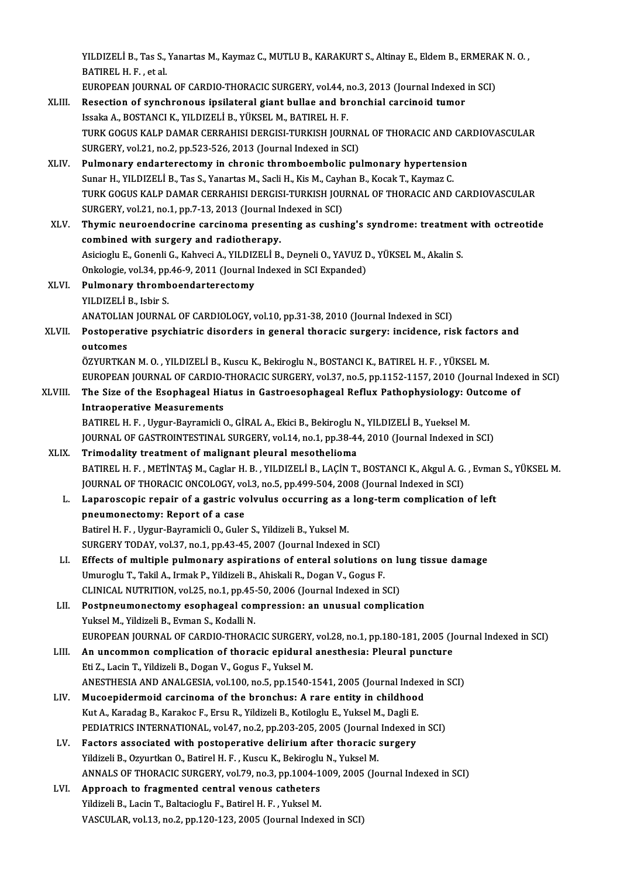YILDIZELİ B., Tas S., Yanartas M., Kaymaz C., MUTLU B., KARAKURT S., Altinay E., Eldem B., ERMERAK N. O. ,<br>RATIREL H. E., et sl YILDIZELİ B., Tas S.,<br>BATIREL H. F. , et al.<br>EUROPEAN JOURNA YILDIZELİ B., Tas S., Yanartas M., Kaymaz C., MUTLU B., KARAKURT S., Altinay E., Eldem B., ERMERA<br>BATIREL H. F. , et al.<br>EUROPEAN JOURNAL OF CARDIO-THORACIC SURGERY, vol.44, no.3, 2013 (Journal Indexed in SCI)<br>Besestian of

EUROPEAN JOURNAL OF CARDIO-THORACIC SURGERY, vol.44, no.3, 2013 (Journal Indexed in SCI)

- BATIREL H. F. , et al.<br>EUROPEAN JOURNAL OF CARDIO-THORACIC SURGERY, vol.44, no.3, 2013 (Journal Indexed<br>XLIII. Resection of synchronous ipsilateral giant bullae and bronchial carcinoid tumor<br>Issaka A., BOSTANCI K., YILDIZE Resection of synchronous ipsilateral giant bullae and bronchial carcinoid tumor<br>Issaka A., BOSTANCI K., YILDIZELİ B., YÜKSEL M., BATIREL H. F.<br>TURK GOGUS KALP DAMAR CERRAHISI DERGISI-TURKISH JOURNAL OF THORACIC AND CARDIOV Issaka A., BOSTANCI K., YILDIZELİ B., YÜKSEL M., BATIREL H. F.<br>TURK GOGUS KALP DAMAR CERRAHISI DERGISI-TURKISH JOURNA<br>SURGERY, vol.21, no.2, pp.523-526, 2013 (Journal Indexed in SCI)<br>Bulmonary, ondattarastamy in shranis th TURK GOGUS KALP DAMAR CERRAHISI DERGISI-TURKISH JOURNAL OF THORACIC AND CAR<br>SURGERY, vol.21, no.2, pp.523-526, 2013 (Journal Indexed in SCI)<br>XLIV. Pulmonary endarterectomy in chronic thromboembolic pulmonary hypertension<br>S
- SURGERY, vol.21, no.2, pp.523-526, 2013 (Journal Indexed in SCI)<br>Pulmonary endarterectomy in chronic thromboembolic pulmonary hypertensi<br>Sunar H., YILDIZELİ B., Tas S., Yanartas M., Sacli H., Kis M., Cayhan B., Kocak T., K Pulmonary endarterectomy in chronic thromboembolic pulmonary hypertension<br>Sunar H., YILDIZELİ B., Tas S., Yanartas M., Sacli H., Kis M., Cayhan B., Kocak T., Kaymaz C.<br>TURK GOGUS KALP DAMAR CERRAHISI DERGISI-TURKISH JOURNA Sunar H., YILDIZELİ B., Tas S., Yanartas M., Sacli H., Kis M., Cayh<br>TURK GOGUS KALP DAMAR CERRAHISI DERGISI-TURKISH JOU<br>SURGERY, vol.21, no.1, pp.7-13, 2013 (Journal Indexed in SCI)<br>Thumis nauroondoerino sarsinoma prosenti
- XLV. Thymic neuroendocrine carcinoma presenting as cushing's syndrome: treatmentwith octreotide combined with surgery and radiotherapy. Thymic neuroendocrine carcinoma presenting as cushing's syndrome: treatmen<br>combined with surgery and radiotherapy.<br>Asicioglu E., Gonenli G., Kahveci A., YILDIZELİ B., Deyneli O., YAVUZ D., YÜKSEL M., Akalin S.<br>Onkelegia ve combined with surgery and radiotherapy.<br>Asicioglu E., Gonenli G., Kahveci A., YILDIZELİ B., Deyneli O., YAVUZ I<br>Onkologie, vol.34, pp.46-9, 2011 (Journal Indexed in SCI Expanded)<br>Pulmonony thromboondarterestemy.
	-
- Asicioglu E., Gonenli G., Kahveci A., YILDIZ<br>Onkologie, vol.34, pp.46-9, 2011 (Journal<br>XLVI. Pulmonary thromboendarterectomy<br>VILDIZELLE Lebin S Onkologie, vol.34, pp.46-9, 2011 (Journal Indexed in SCI Expanded)<br>Pulmonary thromboendarterectomy<br>YILDIZELİ B., Isbir S. ANATOLIAN JOURNAL OF CARDIOLOGY, vol.10, pp.31-38, 2010 (Journal Indexed in SCI)

YILDIZELİ B., Isbir S.<br>ANATOLIAN JOURNAL OF CARDIOLOGY, vol.10, pp.31-38, 2010 (Journal Indexed in SCI)<br>XLVII. Postoperative psychiatric disorders in general thoracic surgery: incidence, risk factors and<br>AUTEOMOG ANATOLIAI<br>Postopera<br>outcomes<br>ÖZVUPTKA Postoperative psychiatric disorders in general thoracic surgery: incidence, risk factor<br>outcomes<br>ÖZYURTKAN M. O. , YILDIZELİ B., Kuscu K., Bekiroglu N., BOSTANCI K., BATIREL H. F. , YÜKSEL M.<br>FUROPEAN JOURNAL OF CARDIO THO

outcomes<br>ÖZYURTKAN M. O. , YILDIZELİ B., Kuscu K., Bekiroglu N., BOSTANCI K., BATIREL H. F. , YÜKSEL M.<br>EUROPEAN JOURNAL OF CARDIO-THORACIC SURGERY, vol.37, no.5, pp.1152-1157, 2010 (Journal Indexed in SCI)

## ÖZYURTKAN M. O. , YILDIZELİ B., Kuscu K., Bekiroglu N., BOSTANCI K., BATIREL H. F. , YÜKSEL M.<br>EUROPEAN JOURNAL OF CARDIO-THORACIC SURGERY, vol.37, no.5, pp.1152-1157, 2010 (Journal Indexe<br>XLVIII. The Size of the Esoph EUROPEAN JOURNAL OF CARDIO-<br>The Size of the Esophageal Hia<br>Intraoperative Measurements<br>PATIPEL H. E. Uvaur Pouramieli ( The Size of the Esophageal Hiatus in Gastroesophageal Reflux Pathophysiology: C<br>Intraoperative Measurements<br>BATIREL H. F. , Uygur-Bayramicli O., GİRAL A., Ekici B., Bekiroglu N., YILDIZELİ B., Yueksel M.<br>JOUPMAL OE GASTROM

Intraoperative Measurements<br>BATIREL H. F. , Uygur-Bayramicli O., GİRAL A., Ekici B., Bekiroglu N., YILDIZELİ B., Yueksel M.<br>JOURNAL OF GASTROINTESTINAL SURGERY, vol.14, no.1, pp.38-44, 2010 (Journal Indexed in SCI)<br>Trimoda BATIREL H. F. , Uygur-Bayramicli O., GİRAL A., Ekici B., Bekiroglu N<br>JOURNAL OF GASTROINTESTINAL SURGERY, vol.14, no.1, pp.38-44<br>XLIX. Trimodality treatment of malignant pleural mesothelioma

- Trimodality treatment of malignant pleural mesothelioma<br>BATIREL H. F. , METİNTAŞ M., Caglar H. B. , YILDIZELİ B., LAÇİN T., BOSTANCI K., Akgul A. G. , Evman S., YÜKSEL M. Trimodality treatment of malignant pleural mesothelioma<br>BATIREL H. F. , METİNTAŞ M., Caglar H. B. , YILDIZELİ B., LAÇİN T., BOSTANCI K., Akgul A. G.<br>JOURNAL OF THORACIC ONCOLOGY, vol.3, no.5, pp.499-504, 2008 (Journal Inde
	- L. Laparoscopic repair of a gastric volvulus occurring as a long-termcomplication of left JOURNAL OF THORACIC ONCOLOGY, vo<br>Laparoscopic repair of a gastric vo<br>pneumonectomy: Report of a case Batirel H. F., Uygur-Bayramicli O., Guler S., Yildizeli B., Yuksel M.

SURGERY TODAY, vol.37, no.1, pp.43-45, 2007 (Journal Indexed in SCI)

- LI. Effects of multiple pulmonary aspirations of enteral solutions on lung tissue damage SURGERY TODAY, vol.37, no.1, pp.43-45, 2007 (Journal Indexed in SCI)<br>Effects of multiple pulmonary aspirations of enteral solutions of<br>Umuroglu T., Takil A., Irmak P., Yildizeli B., Ahiskali R., Dogan V., Gogus F.<br>CLINICAL Effects of multiple pulmonary aspirations of enteral solutions on lumuroglu T., Takil A., Irmak P., Yildizeli B., Ahiskali R., Dogan V., Gogus F.<br>CLINICAL NUTRITION, vol.25, no.1, pp.45-50, 2006 (Journal Indexed in SCI)<br>Po
- CLINICAL NUTRITION, vol.25, no.1, pp.45-50, 2006 (Journal Indexed in SCI)<br>LII. Postpneumonectomy esophageal compression: an unusual complication Yuksel M., Yildizeli B., Evman S., Kodalli N. Postpneumonectomy esophageal compression: an unusual complication<br>Yuksel M., Yildizeli B., Evman S., Kodalli N.<br>EUROPEAN JOURNAL OF CARDIO-THORACIC SURGERY, vol.28, no.1, pp.180-181, 2005 (Journal Indexed in SCI)<br>An uncomm Yuksel M., Yildizeli B., Evman S., Kodalli N.<br>EUROPEAN JOURNAL OF CARDIO-THORACIC SURGERY, vol.28, no.1, pp.180-181, 2005 (Journal puncture<br>LIII. An uncommon complication of thoracic epidural anesthesia: Pleural puncture
- LIII. An uncommon complication of thoracic epidural anesthesia: Pleural puncture<br>Eti Z., Lacin T., Yildizeli B., Dogan V., Gogus F., Yuksel M. An uncommon complication of thoracic epidural anesthesia: Pleural puncture<br>Eti Z., Lacin T., Yildizeli B., Dogan V., Gogus F., Yuksel M.<br>ANESTHESIA AND ANALGESIA, vol.100, no.5, pp.1540-1541, 2005 (Journal Indexed in SCI)<br> Eti Z., Lacin T., Yildizeli B., Dogan V., Gogus F., Yuksel M.<br>ANESTHESIA AND ANALGESIA, vol.100, no.5, pp.1540-1541, 2005 (Journal Indexe<br>LIV. Mucoepidermoid carcinoma of the bronchus: A rare entity in childhood<br>Kut A. Kar
- ANESTHESIA AND ANALGESIA, vol.100, no.5, pp.1540-1541, 2005 (Journal Inde:<br>Mucoepidermoid carcinoma of the bronchus: A rare entity in childhoo:<br>Kut A., Karadag B., Karakoc F., Ersu R., Yildizeli B., Kotiloglu E., Yuksel M. Mucoepidermoid carcinoma of the bronchus: A rare entity in childhood<br>Kut A., Karadag B., Karakoc F., Ersu R., Yildizeli B., Kotiloglu E., Yuksel M., Dagli E.<br>PEDIATRICS INTERNATIONAL, vol.47, no.2, pp.203-205, 2005 (Journa
- LV. Factors associated with postoperative delirium after thoracic surgery PEDIATRICS INTERNATIONAL, vol.47, no.2, pp.203-205, 2005 (Journal<br>Factors associated with postoperative delirium after thoracic<br>Yildizeli B., Ozyurtkan O., Batirel H. F. , Kuscu K., Bekiroglu N., Yuksel M.<br>ANNALS OF THOPAC Factors associated with postoperative delirium after thoracic surgery<br>Yildizeli B., Ozyurtkan O., Batirel H. F. , Kuscu K., Bekiroglu N., Yuksel M.<br>ANNALS OF THORACIC SURGERY, vol.79, no.3, pp.1004-1009, 2005 (Journal Inde Yildizeli B., Ozyurtkan O., Batirel H. F., Kuscu K., Bekiroglu<br>ANNALS OF THORACIC SURGERY, vol.79, no.3, pp.1004-1<br>LVI. Approach to fragmented central venous catheters<br>Vildizeli B. Login T. Beltagiagh: E. Betinel H. E. Vul
- ANNALS OF THORACIC SURGERY, vol.79, no.3, pp.1004-1<br>Approach to fragmented central venous catheters<br>Yildizeli B., Lacin T., Baltacioglu F., Batirel H. F. , Yuksel M.<br>WASCULAB vol.13, no.3, nn.120,122, 2005 (Journal Index Approach to fragmented central venous catheters<br>Yildizeli B., Lacin T., Baltacioglu F., Batirel H. F. , Yuksel M.<br>VASCULAR, vol.13, no.2, pp.120-123, 2005 (Journal Indexed in SCI)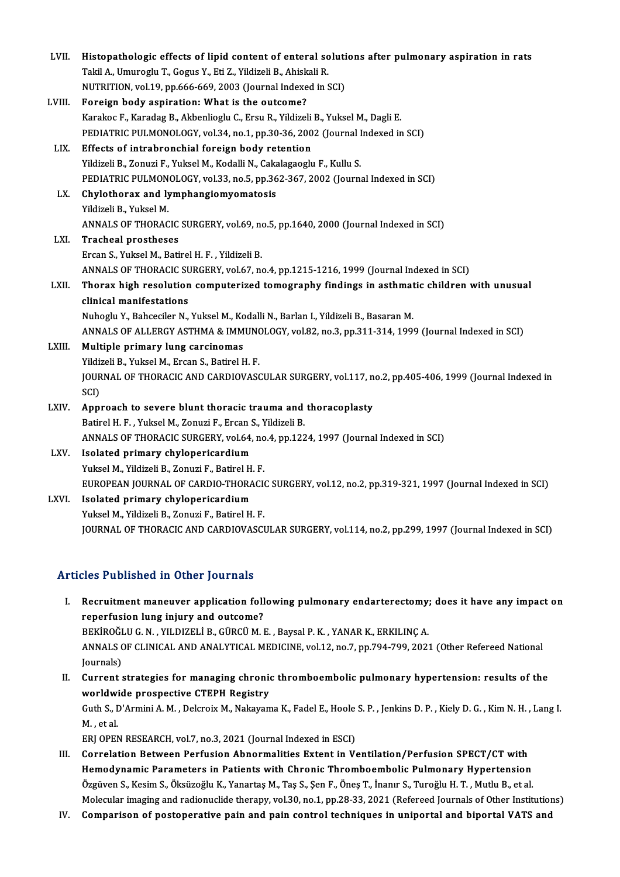| LVII.  | Histopathologic effects of lipid content of enteral solutions after pulmonary aspiration in rats     |
|--------|------------------------------------------------------------------------------------------------------|
|        | Takil A., Umuroglu T., Gogus Y., Eti Z., Yildizeli B., Ahiskali R.                                   |
|        | NUTRITION, vol.19, pp.666-669, 2003 (Journal Indexed in SCI)                                         |
| LVIII. | Foreign body aspiration: What is the outcome?                                                        |
|        | Karakoc F., Karadag B., Akbenlioglu C., Ersu R., Yildizeli B., Yuksel M., Dagli E.                   |
|        | PEDIATRIC PULMONOLOGY, vol.34, no.1, pp.30-36, 2002 (Journal Indexed in SCI)                         |
| LIX.   | Effects of intrabronchial foreign body retention                                                     |
|        | Yildizeli B., Zonuzi F., Yuksel M., Kodalli N., Cakalagaoglu F., Kullu S.                            |
|        | PEDIATRIC PULMONOLOGY, vol.33, no.5, pp.362-367, 2002 (Journal Indexed in SCI)                       |
| LX.    | Chylothorax and lymphangiomyomatosis                                                                 |
|        | Yildizeli B., Yuksel M.                                                                              |
|        | ANNALS OF THORACIC SURGERY, vol.69, no.5, pp.1640, 2000 (Journal Indexed in SCI)                     |
| LXI.   | <b>Tracheal prostheses</b>                                                                           |
|        | Ercan S., Yuksel M., Batirel H. F., Yildizeli B.                                                     |
|        | ANNALS OF THORACIC SURGERY, vol.67, no.4, pp.1215-1216, 1999 (Journal Indexed in SCI)                |
| LXII.  | Thorax high resolution computerized tomography findings in asthmatic children with unusual           |
|        | clinical manifestations                                                                              |
|        | Nuhoglu Y., Bahceciler N., Yuksel M., Kodalli N., Barlan I., Yildizeli B., Basaran M.                |
|        | ANNALS OF ALLERGY ASTHMA & IMMUNOLOGY, vol.82, no.3, pp.311-314, 1999 (Journal Indexed in SCI)       |
| LXIII. | Multiple primary lung carcinomas                                                                     |
|        | Yildizeli B., Yuksel M., Ercan S., Batirel H. F.                                                     |
|        | JOURNAL OF THORACIC AND CARDIOVASCULAR SURGERY, vol.117, no.2, pp.405-406, 1999 (Journal Indexed in  |
|        | SCI)                                                                                                 |
| LXIV.  | Approach to severe blunt thoracic trauma and thoracoplasty                                           |
|        | Batirel H. F., Yuksel M., Zonuzi F., Ercan S., Yildizeli B.                                          |
|        | ANNALS OF THORACIC SURGERY, vol.64, no.4, pp.1224, 1997 (Journal Indexed in SCI)                     |
| LXV.   | Isolated primary chylopericardium                                                                    |
|        | Yuksel M., Yildizeli B., Zonuzi F., Batirel H. F.                                                    |
|        | EUROPEAN JOURNAL OF CARDIO-THORACIC SURGERY, vol.12, no.2, pp.319-321, 1997 (Journal Indexed in SCI) |
| LXVI.  | Isolated primary chylopericardium                                                                    |
|        | Yuksel M., Yildizeli B., Zonuzi F., Batirel H. F.                                                    |
|        | JOURNAL OF THORACIC AND CARDIOVASCULAR SURGERY, vol.114, no.2, pp.299, 1997 (Journal Indexed in SCI) |
|        |                                                                                                      |

## Articles Published in Other Journals

- rticles Published in Other Journals<br>I. Recruitment maneuver application following pulmonary endarterectomy; does it have any impact on<br>Fenerfusion lung injury and eutseme? reperfusion and the control your manu-<br>Recruitment maneuver application foll<br>reperfusion lung injury and outcome?<br>PERIDOČLUC N. VILDIZELLE CURCUM Recruitment maneuver application following pulmonary endarterectomy;<br>reperfusion lung injury and outcome?<br>BEKİROĞLU G.N., YILDIZELİ B., GÜRCÜ M. E. , Baysal P. K. , YANAR K., ERKILINÇ A.<br>ANNALS OF CLINICAL AND ANALYTICAL M reperfusion lung injury and outcome?<br>BEKİROĞLU G. N. , YILDIZELİ B., GÜRCÜ M. E. , Baysal P. K. , YANAR K., ERKILINÇ A.<br>ANNALS OF CLINICAL AND ANALYTICAL MEDICINE, vol.12, no.7, pp.794-799, 2021 (Other Refereed National<br>Jo BEKİROĞI<br>ANNALS (<br>Journals)<br>Curront ( ANNALS OF CLINICAL AND ANALYTICAL MEDICINE, vol.12, no.7, pp.794-799, 2021 (Other Refereed National<br>Journals)<br>II. Current strategies for managing chronic thromboembolic pulmonary hypertension: results of the<br>worldwide proc
- Journals)<br>Current strategies for managing chronic<br>worldwide prospective CTEPH Registry<br>Cuth S. D'Armini A.M., Delereiv M. Nekayar Current strategies for managing chronic thromboembolic pulmonary hypertension: results of the<br>worldwide prospective CTEPH Registry<br>Guth S., D'Armini A. M. , Delcroix M., Nakayama K., Fadel E., Hoole S. P. , Jenkins D. P. , Worldwi<br>Guth S., I<br>M. , et al.<br>EPLOPEN Guth S., D'Armini A. M. , Delcroix M., Nakayama K., Fadel E., Hoole<br>M. , et al.<br>ERJ OPEN RESEARCH, vol.7, no.3, 2021 (Journal Indexed in ESCI)<br>Correlation Petuseen Perfusion Abnormalities Eutent in V. M. , et al.<br>ERJ OPEN RESEARCH, vol.7, no.3, 2021 (Journal Indexed in ESCI)<br>III. Correlation Between Perfusion Abnormalities Extent in Ventilation/Perfusion SPECT/CT with
- Hemodynamic Parameters in Patients with Chronic Thromboembolic Pulmonary Hypertension Özgüven S., Kesim S., Öksüzoğlu K., Yanartaş M., Taş S., Şen F., Öneş T., İnanır S., Turoğlu H. T. , Mutlu B., et al. Molecular imaging and radionuclide therapy, vol.30, no.1, pp.28-33, 2021 (Refereed Journals of Other Institutions)
- IV. Comparison of postoperative pain and pain control techniques in uniportal and biportal VATS and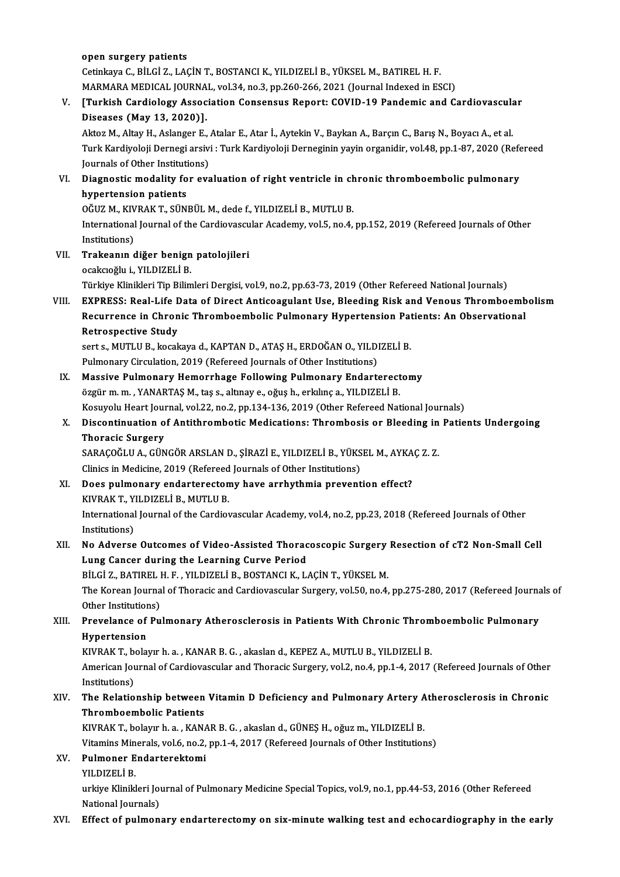open surgery patients open surgery patients<br>Cetinkaya C., BİLGİ Z., LAÇİN T., BOSTANCI K., YILDIZELİ B., YÜKSEL M., BATIREL H. F.<br>MARMARA MEDICAL JOURNAL .val 34. no 3. np 260.266.2021 (Journal Indoved in ES open surgery patients<br>Cetinkaya C., BİLGİ Z., LAÇİN T., BOSTANCI K., YILDIZELİ B., YÜKSEL M., BATIREL H. F.<br>MARMARA MEDICAL JOURNAL, vol.34, no.3, pp.260-266, 2021 (Journal Indexed in ESCI)<br>ITurkieh Cardiology Association Cetinkaya C., BİLGİ Z., LAÇİN T., BOSTANCI K., YILDIZELİ B., YÜKSEL M., BATIREL H. F.<br>MARMARA MEDICAL JOURNAL, vol.34, no.3, pp.260-266, 2021 (Journal Indexed in ESCI)<br>V. [Turkish Cardiology Association Consensus Repor MARMARA MEDICAL JOURNA<br>[Turkish Cardiology Assoc<br>Diseases (May 13, 2020)]. [Turkish Cardiology Association Consensus Report: COVID-19 Pandemic and Cardiovascula<br>Diseases (May 13, 2020)].<br>Aktoz M., Altay H., Aslanger E., Atalar E., Atar İ., Aytekin V., Baykan A., Barçın C., Barış N., Boyacı A., et Diseases (May 13, 2020)].<br>Aktoz M., Altay H., Aslanger E., Atalar E., Atar İ., Aytekin V., Baykan A., Barçın C., Barış N., Boyacı A., et al.<br>Turk Kardiyoloji Dernegi arsivi : Turk Kardiyoloji Derneginin yayin organidir, vo Aktoz M., Altay H., Aslanger E., .<br>Turk Kardiyoloji Dernegi arsivi<br>Journals of Other Institutions)<br>Diagnostis modality for ove Turk Kardiyoloji Dernegi arsivi : Turk Kardiyoloji Derneginin yayin organidir, vol.48, pp.1-87, 2020 (Refe<br>Journals of Other Institutions)<br>VI. Diagnostic modality for evaluation of right ventricle in chronic thromboemb **Journals of Other Instituti<br>Diagnostic modality fo<br>hypertension patients<br>OČUZ M. KIVRAK T. SÜN** Diagnostic modality for evaluation of right ventricle in ch<br>hypertension patients<br>OĞUZ M., KIVRAK T., SÜNBÜL M., dede f., YILDIZELİ B., MUTLU B.<br>International Journal of the Cordiausceular Academu vel 5, no 4. hypertension patients<br>OĞUZ M., KIVRAK T., SÜNBÜL M., dede f., YILDIZELİ B., MUTLU B.<br>International Journal of the Cardiovascular Academy, vol.5, no.4, pp.152, 2019 (Refereed Journals of Other<br>Institutions) OĞUZ M., KIVRAK T., SÜNBÜL M., dede f., YILDIZELİ B., MUTLU B. International Journal of the Cardiovascu<br>Institutions)<br>VII. Trakeanın diğer benign patolojileri<br>Qookaağlu i VII DIZELİ P Institutions)<br>Trakeanın diğer benign<br>ocakcıoğlu i., YILDIZELİ B.<br>Türkiye Klinikleri Tin Bilim ocakcıoğlu i., YILDIZELİ B.<br>Türkiye Klinikleri Tip Bilimleri Dergisi, vol.9, no.2, pp.63-73, 2019 (Other Refereed National Journals) VIII. EXPRESS: Real-Life Data of Direct Anticoagulant Use, Bleeding Risk and Venous Thromboembolism Türkiye Klinikleri Tip Bilimleri Dergisi, vol.9, no.2, pp.63-73, 2019 (Other Refereed National Journals)<br>EXPRESS: Real-Life Data of Direct Anticoagulant Use, Bleeding Risk and Venous Thromboemb<br>Recurrence in Chronic Thromb EXPRESS: Real-Life <mark>E</mark><br>Recurrence in Chron<br>Retrospective Study<br>serts MITUE liscal Recurrence in Chronic Thromboembolic Pulmonary Hypertension Pat<br>Retrospective Study<br>sert s., MUTLU B., kocakaya d., KAPTAN D., ATAŞ H., ERDOĞAN O., YILDIZELİ B.<br>Pulmonary Circulation 2010 (Refereed Jeurnals ef Other Instit Retrospective Study<br>sert s., MUTLU B., kocakaya d., KAPTAN D., ATAŞ H., ERDOĞAN O., YILD!<br>Pulmonary Circulation, 2019 (Refereed Journals of Other Institutions)<br>Massive Pulmonary Homorrhage Following Pulmonary Endert Pulmonary Circulation, 2019 (Refereed Journals of Other Institutions)<br>IX. Massive Pulmonary Hemorrhage Following Pulmonary Endarterectomy özgürm.m., YANARTAŞM., taş s., altınay e., oğuş h., erkılınç a., YILDIZELİ B. Massive Pulmonary Hemorrhage Following Pulmonary Endarterectomy<br>özgür m. m. , YANARTAŞ M., taş s., altınay e., oğuş h., erkılınç a., YILDIZELİ B.<br>Kosuyolu Heart Journal, vol.22, no.2, pp.134-136, 2019 (Other Refereed Natio özgür m. m. , YANARTAŞ M., taş s., altınay e., oğuş h., erkılınç a., YILDIZELİ B.<br>Kosuyolu Heart Journal, vol.22, no.2, pp.134-136, 2019 (Other Refereed National Journals)<br>X. Discontinuation of Antithrombotic Medicatio Kosuyolu Heart Jour<br>Discontinuation o<br>Thoracic Surgery<br>SARACOČI U A. CÜN Discontinuation of Antithrombotic Medications: Thrombosis or Bleeding in<br>Thoracic Surgery<br>SARAÇOĞLU A., GÜNGÖR ARSLAN D., ŞİRAZİ E., YILDIZELİ B., YÜKSEL M., AYKAÇ Z. Z.<br>Clinics in Medicine. 2019 (Refereed Journals ef Othe Thoracic Surgery<br>SARAÇOĞLU A., GÜNGÖR ARSLAN D., ŞİRAZİ E., YILDIZELİ B., YÜKSEL M., AYKAÇ Z. Z.<br>Clinics in Medicine, 2019 (Refereed Journals of Other Institutions) SARAÇOĞLU A., GÜNGÖR ARSLAN D., ŞİRAZİ E., YILDIZELİ B., YÜKSEL M., AYKA<br>Clinics in Medicine, 2019 (Refereed Journals of Other Institutions)<br>XI. Does pulmonary endarterectomy have arrhythmia prevention effect?<br>ENPAET VU DI Clinics in Medicine, 2019 (Refereed<br>Does pulmonary endarterecton<br>KIVRAK T., YILDIZELİ B., MUTLU B.<br>International Journal of the Cardiox Does pulmonary endarterectomy have arrhythmia prevention effect?<br>KIVRAK T., YILDIZELİ B., MUTLU B.<br>International Journal of the Cardiovascular Academy, vol.4, no.2, pp.23, 2018 (Refereed Journals of Other<br>Institutione) KIVRAK T., Y<br>International<br>Institutions)<br>No. Advance International Journal of the Cardiovascular Academy, vol.4, no.2, pp.23, 2018 (Refereed Journals of Other<br>Institutions)<br>XII. No Adverse Outcomes of Video-Assisted Thoracoscopic Surgery Resection of cT2 Non-Small Cell<br>Inna Institutions)<br>No Adverse Outcomes of Video-Assisted Thorac<br>Lung Cancer during the Learning Curve Period<br>Piuci 7, PATIDEL H E, VILDIZELLE POSTANCLK L No Adverse Outcomes of Video-Assisted Thoracoscopic Surgery<br>Lung Cancer during the Learning Curve Period<br>BİLGİ Z., BATIREL H. F. , YILDIZELİ B., BOSTANCI K., LAÇİN T., YÜKSEL M.<br>The Korean Journal of Thorasis and Cardiovas Lung Cancer during the Learning Curve Period<br>BİLGİ Z., BATIREL H. F. , YILDIZELİ B., BOSTANCI K., LAÇİN T., YÜKSEL M.<br>The Korean Journal of Thoracic and Cardiovascular Surgery, vol.50, no.4, pp.275-280, 2017 (Refereed Jour BİLGİ Z., BATIREL I<br>The Korean Journa<br>Other Institutions)<br>Provolance of Bu The Korean Journal of Thoracic and Cardiovascular Surgery, vol.50, no.4, pp.275-280, 2017 (Refereed Journa<br>Other Institutions)<br>XIII. Prevelance of Pulmonary Atherosclerosis in Patients With Chronic Thromboembolic Pulmonary Other Institution<br>Prevelance of<br>Hypertension<br>KWPAK Tobela Prevelance of Pulmonary Atherosclerosis in Patients With Chronic Throm<br>Hypertension<br>KIVRAK T., bolayır h.a. , KANAR B. G. , akaslan d., KEPEZ A., MUTLU B., YILDIZELİ B.<br>American Journal of Cardiousceular and Thoracis Surge Hypertension<br>KIVRAK T., bolayır h. a. , KANAR B. G. , akaslan d., KEPEZ A., MUTLU B., YILDIZELİ B.<br>American Journal of Cardiovascular and Thoracic Surgery, vol.2, no.4, pp.1-4, 2017 (Refereed Journals of Other<br>Institutions KIVRAK T., b<br>American Jou<br>Institutions)<br>The Pelatio American Journal of Cardiovascular and Thoracic Surgery, vol.2, no.4, pp.1-4, 2017 (Refereed Journals of Other<br>Institutions)<br>XIV. The Relationship between Vitamin D Deficiency and Pulmonary Artery Atherosclerosis in Chroni Institutions)<br>The Relationship between<br>Thromboembolic Patients<br>KIVRAK T. belaur b.e., KAN The Relationship between Vitamin D Deficiency and Pulmonary Artery A<br>Thromboembolic Patients<br>KIVRAK T., bolayır h.a. , KANAR B. G. , akaslan d., GÜNEŞ H., oğuzm., YILDIZELİ B.<br>Vitamine Minerela vel 6 no 2 nn 1 4 2017 (Befe Thromboembolic Patients<br>KIVRAK T., bolayır h. a. , KANAR B. G. , akaslan d., GÜNEŞ H., oğuz m., YILDIZELİ B.<br>Vitamins Minerals, vol.6, no.2, pp.1-4, 2017 (Refereed Journals of Other Institutions) KIVRAK T., bolayır h. a. , KANA<br>Vitamins Minerals, vol.6, no.2,<br>XV. Pulmoner Endarterektomi<br>VII DIZELİ P YILDIZELİB. Pulmoner Endarterektomi<br>YILDIZELİ B.<br>urkiye Klinikleri Journal of Pulmonary Medicine Special Topics, vol.9, no.1, pp.44-53, 2016 (Other Refereed<br>National Journale) YILDIZELİ B.<br>urkiye Klinikleri Journals)<br>National Journals)<br>Effect of nulmon XVI. Effect of pulmonary endarterectomy on six-minute walking test and echocardiography in the early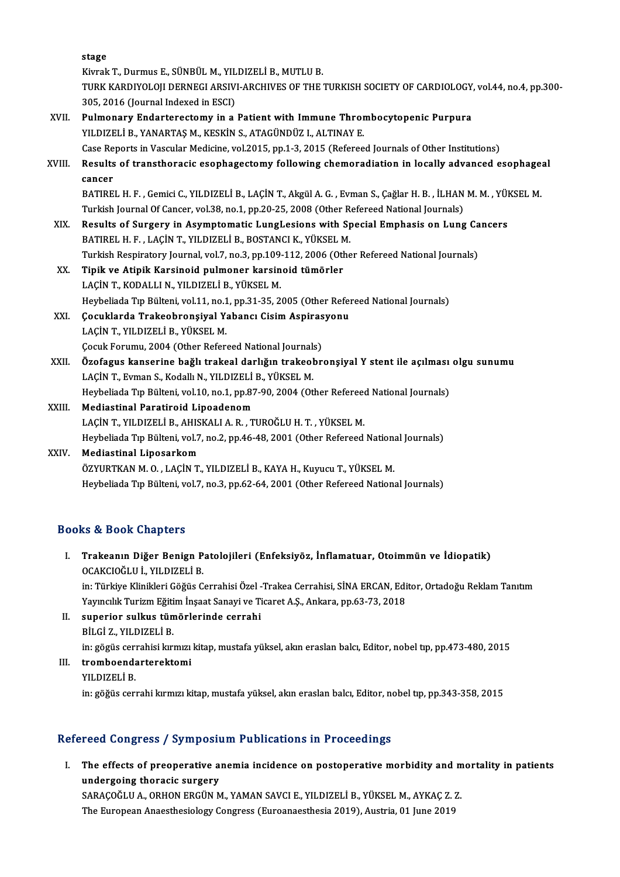stage

S<mark>tage</mark><br>Kivrak T., Durmus E., SÜNBÜL M., YILDIZELİ B., MUTLU B.<br>TURK KARDIYOLOU DERNECLARSIYLARCUVES OF TUR. TURK KARDIYOLOJI DERNEGI ARSIVI-ARCHIVES OF THE TURKISH SOCIETY OF CARDIOLOGY, vol.44, no.4, pp.300-<br>305. 2016 (Journal Indexed in ESCI) Kivrak T., Durmus E., SÜNBÜL M., YIL<br>TURK KARDIYOLOJI DERNEGI ARSIV<br>305, 2016 (Journal Indexed in ESCI)<br>Bulmonary Enderterestamy in e.

- XVII. Pulmonary Endarterectomy in a Patient with Immune Thrombocytopenic Purpura YILDIZELİ B., YANARTAŞ M., KESKİN S., ATAGÜNDÜZ I., ALTINAY E. Pulmonary Endarterectomy in a Patient with Immune Thrombocytopenic Purpura<br>YILDIZELİ B., YANARTAŞ M., KESKİN S., ATAGÜNDÜZ I., ALTINAY E.<br>Case Reports in Vascular Medicine, vol.2015, pp.1-3, 2015 (Refereed Journals of Othe
- XVIII. Results of transthoracic esophagectomy following chemoradiation in locally advanced esophageal<br>cancer Case Re<br><mark>Results</mark><br>cancer<br>PATIPE Results of transthoracic esophagectomy following chemoradiation in locally advanced esophage:<br>cancer<br>BATIREL H. F. , Gemici C., YILDIZELİ B., LAÇİN T., Akgül A. G. , Evman S., Çağlar H. B. , İLHAN M. M. , YÜKSEL M.<br>Turkish

cancer<br>BATIREL H. F. , Gemici C., YILDIZELİ B., LAÇİN T., Akgül A. G. , Evman S., Çağlar H. B. , İLHAN<br>Turkish Journal Of Cancer, vol.38, no.1, pp.20-25, 2008 (Other Refereed National Journals)<br>Besults of Surgery in Asympt BATIREL H. F. , Gemici C., YILDIZELİ B., LAÇİN T., Akgül A. G. , Evman S., Çağlar H. B. , İLHAN M. M. , YÜI<br>Turkish Journal Of Cancer, vol.38, no.1, pp.20-25, 2008 (Other Refereed National Journals)<br>XIX. Results of Surgery

- Turkish Journal Of Cancer, vol.38, no.1, pp.20-25, 2008 (Other Refereed National Journals)<br>Results of Surgery in Asymptomatic LungLesions with Special Emphasis on Lung Cancers<br>BATIREL H. F. , LAÇİN T., YILDIZELİ B., BOSTAN Turkish Respiratory Journal, vol.7, no.3, pp.109-112, 2006 (Other Refereed National Journals)
- XX. Tipik ve Atipik Karsinoid pulmoner karsinoid tümörler LAÇİN T., KODALLI N., YILDIZELİ B., YÜKSEL M. Tipik ve Atipik Karsinoid pulmoner karsinoid tümörler<br>LAÇİN T., KODALLI N., YILDIZELİ B., YÜKSEL M.<br>Heybeliada Tıp Bülteni, vol.11, no.1, pp.31-35, 2005 (Other Refereed National Journals)<br>Cosuklarda Traksaknansiyal Yahansı LAÇİN T., KODALLI N., YILDIZELİ B., YÜKSEL M.<br>Heybeliada Tıp Bülteni, vol.11, no.1, pp.31-35, 2005 (Other Refer<br>XXI. Gocuklarda Trakeobronşiyal Yabancı Cisim Aspirasyonu<br>LACİN T. VU DIZELLB. VÜKSEL M
- Heybeliada Tıp Bülteni, vol.11, no.1<br>Çocuklarda Trakeobronşiyal Y.<br>LAÇİN T., YILDIZELİ B., YÜKSEL M.<br>Çosuk Forumu. 2004 (Other Beforu Çocuklarda Trakeobronşiyal Yabancı Cisim Aspiras<br>LAÇİN T., YILDIZELİ B., YÜKSEL M.<br>Çocuk Forumu, 2004 (Other Refereed National Journals)<br>Özefegye kanaerine bağlı trakeal darlığın trakeabr
- LAÇİN T., YILDIZELİ B., YÜKSEL M.<br>Çocuk Forumu, 2004 (Other Refereed National Journals)<br>XXII. Özofagus kanserine bağlı trakeal darlığın trakeobronşiyal Y stent ile açılması olgu sunumu<br>LAÇİN T., Evman S., Kodallı N., Y Çocuk Forumu, 2004 (Other Refereed National Journal:<br><mark>Özofagus kanserine bağlı trakeal darlığın trakeol</mark><br>LAÇİN T., Evman S., Kodallı N., YILDIZELİ B., YÜKSEL M.<br>Hayboliada Tın Bültani val 10 na 1 nn 97 90 2004 (Ot Özofagus kanserine bağlı trakeal darlığın trakeobronşiyal Y stent ile açılması<br>LAÇİN T., Evman S., Kodallı N., YILDIZELİ B., YÜKSEL M.<br>Heybeliada Tıp Bülteni, vol.10, no.1, pp.87-90, 2004 (Other Refereed National Journals)
- XXIII. Mediastinal Paratiroid Lipoadenom<br>LAÇİN T., YILDIZELİ B., AHISKALI A. R., TUROĞLU H. T., YÜKSEL M. Heybeliada Tıp Bülteni, vol.10, no.1, pp.87-90, 2004 (Other Refereed<br>Mediastinal Paratiroid Lipoadenom<br>LAÇİN T., YILDIZELİ B., AHISKALI A. R. , TUROĞLU H. T. , YÜKSEL M.<br>Heybeliada Tıp Bülteni, vol.7, no.2, nn.46,48,2001 ( Mediastinal Paratiroid Lipoadenom<br>LAÇİN T., YILDIZELİ B., AHISKALI A. R. , TUROĞLU H. T. , YÜKSEL M.<br>Heybeliada Tıp Bülteni, vol.7, no.2, pp.46-48, 2001 (Other Refereed National Journals)<br>Mediastinal Linosarkom
- XXIV. Mediastinal Liposarkom<br>ÖZYURTKAN M. O., LAÇİN T., YILDIZELİ B., KAYA H., Kuyucu T., YÜKSEL M. Heybeliada Tıp Bülteni, vol.7, no.2, pp.46-48, 2001 (Other Refereed Nation:<br>Mediastinal Liposarkom<br>ÖZYURTKAN M. O. , LAÇİN T., YILDIZELİ B., KAYA H., Kuyucu T., YÜKSEL M.<br>Heybeliada Tın Bülteni, vol.7, no.2, nn.62, 64, 200 Heybeliada Tıp Bülteni, vol.7, no.3, pp.62-64, 2001 (Other Refereed National Journals)

## Books&Book Chapters

- I. Trakeanın Diğer Benign Patolojileri (Enfeksiyöz, İnflamatuar, Otoimmün ve İdiopatik) to & Dook Ghapters<br>Trakeanın Diğer Benign P<br>OCAKCIOĞLU İ., YILDIZELİ B.<br>in: Türkiye Klinikleri Cöğüs C Trakeanın Diğer Benign Patolojileri (Enfeksiyöz, İnflamatuar, Otoimmün ve İdiopatik)<br>OCAKCIOĞLU İ., YILDIZELİ B.<br>in: Türkiye Klinikleri Göğüs Cerrahisi Özel -Trakea Cerrahisi, SİNA ERCAN, Editor, Ortadoğu Reklam Tanıtım<br>Ya OCAKCIOĞLU İ., YILDIZELİ B.<br>in: Türkiye Klinikleri Göğüs Cerrahisi Özel -Trakea Cerrahisi, SİNA ERCAN, Edi<br>Yayıncılık Turizm Eğitim İnşaat Sanayi ve Ticaret A.Ş., Ankara, pp.63-73, 2018<br>sunerier, sulkus tümörlerinde serrah
	- Yayıncılık Turizm Eğitim İnşaat Sanayi ve Ticaret A.Ş., Ankara, pp.63-73, 2018
- II. superior sulkus tümörlerinde cerrahi<br>BİLGİ Z., YILDIZELİ B. superior sulkus tümörlerinde cerrahi<br>BİLGİ Z., YILDIZELİ B.<br>in: gögüs cerrahisi kırmızı kitap, mustafa yüksel, akın eraslan balcı, Editor, nobel tıp, pp.473-480, 2015<br>tromboondartarektemi
- III. tromboendarterektomi<br>YILDIZELİ B. in: gögüs ceri<br><mark>tromboend:</mark><br>YILDIZELİ B.<br>in: göğüs seri in: göğüs cerrahi kırmızı kitap, mustafa yüksel, akın eraslan balcı, Editor, nobel tıp, pp.343-358, 2015

## Refereed Congress / Symposium Publications in Proceedings

efereed Congress / Symposium Publications in Proceedings<br>I. The effects of preoperative anemia incidence on postoperative morbidity and mortality in patients<br>undergaing theresis surgery The effects of preoperative a<br>undergoing thoracic surgery<br>SARACOČI II A OPHON ERCUN M The effects of preoperative anemia incidence on postoperative morbidity and m<br>undergoing thoracic surgery<br>SARAÇOĞLU A., ORHON ERGÜN M., YAMAN SAVCI E., YILDIZELİ B., YÜKSEL M., AYKAÇ Z. Z.<br>The European Anaesthesialery Cong undergoing thoracic surgery<br>SARAÇOĞLU A., ORHON ERGÜN M., YAMAN SAVCI E., YILDIZELİ B., YÜKSEL M., AYKAÇ Z. Z.<br>The European Anaesthesiology Congress (Euroanaesthesia 2019), Austria, 01 June 2019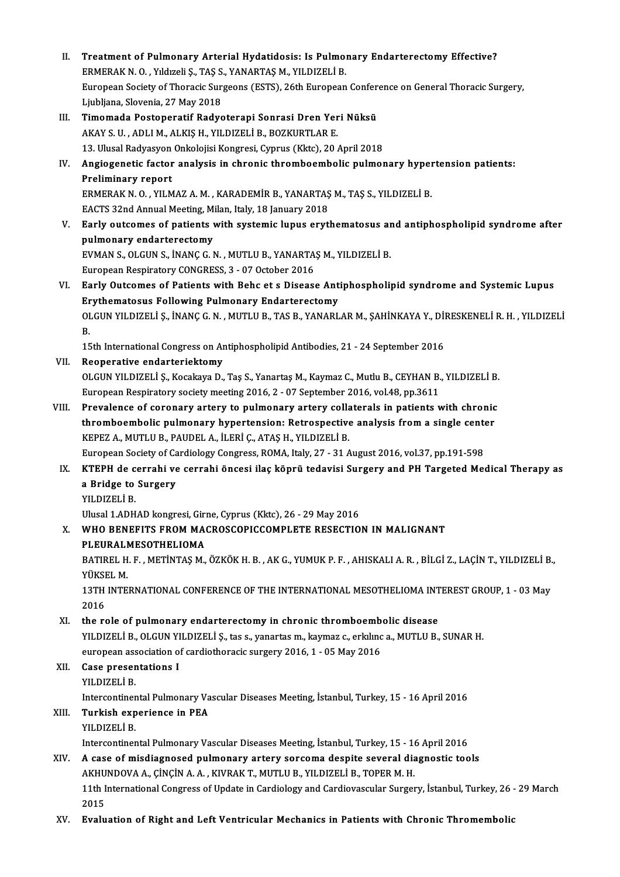II. Treatment of Pulmonary Arterial Hydatidosis: Is Pulmonary Endarterectomy Effective?<br>ERMERAK N.O. Vidigoli S. TAS S. VANAPTAS M. VILDIZELLE Treatment of Pulmonary Arterial Hydatidosis: Is Pulmon<br>ERMERAK N.O., Yıldızeli Ş., TAŞ S., YANARTAŞ M., YILDIZELİ B.<br>European Society of Thoresis Surgeans (ESTS), 26th European Treatment of Pulmonary Arterial Hydatidosis: Is Pulmonary Endarterectomy Effective?<br>ERMERAK N. O. , Yıldızeli Ş., TAŞ S., YANARTAŞ M., YILDIZELİ B.<br>European Society of Thoracic Surgeons (ESTS), 26th European Conference on ERMERAK N. O. , Yıldızeli Ş., TAŞ S., YANARTAŞ M., YILDIZELİ B.<br>European Society of Thoracic Surgeons (ESTS), 26th European Conference on General Thoracic Surgery,<br>Ljubljana, Slovenia, 27 May 2018 III. Timomada Postoperatif Radyoterapi Sonrasi Dren Yeri Nüksü AKAYS.U. ,ADLIM.,ALKIŞH.,YILDIZELİB.,BOZKURTLARE. Timomada Postoperatif Radyoterapi Sonrasi Dren Yeri Nüksü<br>AKAY S. U. , ADLI M., ALKIŞ H., YILDIZELİ B., BOZKURTLAR E.<br>13. Ulusal Radyasyon Onkolojisi Kongresi, Cyprus (Kktc), 20 April 2018<br>Angiogenetis fester analysis in s IV. Angiogenetic factor analysis in chronic thromboembolic pulmonary hypertension patients: 13. Ulusal Radyasyon<br>Angiogenetic factor<br>Preliminary report<br>EPMEPAK N.O. YU M Angiogenetic factor analysis in chronic thromboembolic pulmonary hyper<br>Preliminary report<br>ERMERAK N. O. , YILMAZ A. M. , KARADEMİR B., YANARTAŞ M., TAŞ S., YILDIZELİ B.<br>EACTS 22nd Annual Mesting Milen Italy 18 January 2018 Preliminary report<br>ERMERAK N. O. , YILMAZ A. M. , KARADEMİR B., YANARTAŞ<br>EACTS 32nd Annual Meeting, Milan, Italy, 18 January 2018<br>Farly outgomes of nationts with systemis lunus envti V. Early outcomes of patients with systemic lupus erythematosus and antiphospholipid syndrome after EACTS 32nd Annual Meeting, Milan, Italy, 18 January 2018 Early outcomes of patients with systemic lupus erythematosus ar<br>pulmonary endarterectomy<br>EVMAN S., OLGUN S., İNANÇ G.N. , MUTLU B., YANARTAŞ M., YILDIZELİ B.<br>European Bespiratory CONGBESS 3 - 07 Ostober 2016 pulmonary endarterectomy<br>EVMAN S., OLGUN S., İNANÇ G. N. , MUTLU B., YANARTA:<br>European Respiratory CONGRESS, 3 - 07 October 2016<br>Farly Outsomes of Patients with Bobs et s Disease EVMAN S., OLGUN S., İNANÇ G. N. , MUTLU B., YANARTAŞ M., YILDIZELİ B.<br>European Respiratory CONGRESS, 3 - 07 October 2016<br>VI. Barly Outcomes of Patients with Behc et s Disease Antiphospholipid syndrome and Systemic Lupus<br>Eu European Respiratory CONGRESS, 3 - 07 October 2016<br>Early Outcomes of Patients with Behc et s Disease Ant<br>Erythematosus Following Pulmonary Endarterectomy<br>OLCUN VU DIZELLS, INANG G.N. MUTHU P. TAS P. VANAPL Erythematosus Following Pulmonary Endarterectomy<br>OLGUN YILDIZELİ Ş., İNANÇ G.N. , MUTLU B., TAS B., YANARLAR M., ŞAHİNKAYA Y., DİRESKENELİ R. H. , YILDIZELİ<br>B. Er<br>OI<br>B. 15th International Congress on Antiphospholipid Antibodies, 21 - 24 September 2016 VII. Reoperative endarteriektomy OLGUNYILDIZELİ Ş.,KocakayaD.,Taş S.,YanartaşM.,KaymazC.,MutluB.,CEYHANB.,YILDIZELİB. European Respiratory society meeting 2016, 2 - 07 September 2016, vol.48, pp.3611 OLGUN YILDIZELİ Ş., Kocakaya D., Taş S., Yanartaş M., Kaymaz C., Mutlu B., CEYHAN B., YILDIZELİ B.<br>European Respiratory society meeting 2016, 2 - 07 September 2016, vol.48, pp.3611<br>VIII. Prevalence of coronary artery to pu European Respiratory society meeting 2016, 2 - 07 September 2016, vol.48, pp.3611<br>Prevalence of coronary artery to pulmonary artery collaterals in patients with chronic<br>thromboembolic pulmonary hypertension: Retrospective Prevalence of coronary artery to pulmonary artery collation.<br>Thromboembolic pulmonary hypertension: Retrospective<br>KEPEZ A., MUTLU B., PAUDEL A., İLERİ Ç., ATAŞ H., YILDIZELİ B.<br>Euronean Society of Cardiology Congress, POMA thromboembolic pulmonary hypertension: Retrospective analysis from a single center<br>KEPEZ A., MUTLU B., PAUDEL A., İLERİ Ç., ATAŞ H., YILDIZELİ B. IX. KTEPH de cerrahi ve cerrahi öncesi ilaç köprü tedavisi Surgery and PH Targeted Medical Therapy as European Society of Cardiology Congress, ROMA, Italy, 27 - 31 August 2016, vol.37, pp.191-598<br>KTEPH de cerrahi ve cerrahi öncesi ilaç köprü tedavisi Surgery and PH Targeted Me<br>a Bridge to Surgery<br>YILDIZELİ B. a Bridge to Surgery Ulusal 1.ADHAD kongresi, Girne, Cyprus (Kktc), 26 - 29 May 2016 YILDIZELİ B.<br>Ulusal 1.ADHAD kongresi, Girne, Cyprus (Kktc), 26 - 29 May 2016<br>X. WHO BENEFITS FROM MACROSCOPICCOMPLETE RESECTION IN MALIGNANT<br>BI EURALMESOTHELIOMA Ulusal 1.ADHAD kongresi, Giri<br>WHO BENEFITS FROM MA<br>PLEURALMESOTHELIOMA<br>PATIDEL H E - METINTAS M WHO BENEFITS FROM MACROSCOPICCOMPLETE RESECTION IN MALIGNANT<br>PLEURALMESOTHELIOMA<br>BATIREL H. F. , METİNTAŞ M., ÖZKÖK H. B. , AK G., YUMUK P. F. , AHISKALI A. R. , BİLGİ Z., LAÇİN T., YILDIZELİ B.,<br>VÜKSEL M <mark>PLEURALI</mark><br>BATIREL H<br>YÜKSEL M.<br>13TH INTE BATIREL H. F. , METİNTAŞ M., ÖZKÖK H. B. , AK G., YUMUK P. F. , AHISKALI A. R. , BİLGİ Z., LAÇİN T., YILDIZELİ B.<br>YÜKSEL M.<br>13TH INTERNATIONAL CONFERENCE OF THE INTERNATIONAL MESOTHELIOMA INTEREST GROUP, 1 - 03 May<br>2016 YÜKSEL M.<br>13TH INTERNATIONAL CONFERENCE OF THE INTERNATIONAL MESOTHELIOMA INTEREST GROUP, 1 - 03 May<br>2016 13TH INTERNATIONAL CONFERENCE OF THE INTERNATIONAL MESOTHELIOMA INT<br>2016<br>XI. the role of pulmonary endarterectomy in chronic thromboembolic disease<br>VILDIZELLE OLGUN VILDIZELLS, the s. vanastes m. kaymar s. orkling a. MITH YILDIZELİ B., OLGUN YILDIZELİ Ş., tas s., yanartas m., kaymaz c., erkılınc a., MUTLU B., SUNAR H.<br>european association of cardiothoracic surgery 2016, 1 - 05 May 2016 the role of pulmonary endarterectomy in chronic thromboemb<br>YILDIZELİ B., OLGUN YILDIZELİ Ş., tas s., yanartas m., kaymaz c., erkılınc<br>european association of cardiothoracic surgery 2016, 1 - 05 May 2016<br>Case presentations XI . Case presentations I european ass<br>Case preser<br>YILDIZELİ B.<br>Intercentiner Case presentations I<br>YILDIZELİ B.<br>Intercontinental Pulmonary Vascular Diseases Meeting, İstanbul, Turkey, 15 - 16 April 2016<br>Turkish avnarianes in REA YILDIZELİ B.<br>Intercontinental Pulmonary Va<br>XIII. Turkish experience in PEA<br>VILDIZELİ B Intercontiner<br>Turkish exp<br>YILDIZELİ B.<br>Intercontiner Turkish experience in PEA<br>ILDIZELİ B.<br>Intercontinental Pulmonary Vascular Diseases Meeting, İstanbul, Turkey, 15 - 16 April 2016 XIV. A case ofmisdiagnosed pulmonary artery sorcoma despite several diagnostic tools Intercontinental Pulmonary Vascular Diseases Meeting, İstanbul, Turkey, 15 - 16<br>A case of misdiagnosed pulmonary artery sorcoma despite several dia<br>AKHUNDOVA A., ÇİNÇİN A. A., KIVRAK T., MUTLU B., YILDIZELİ B., TOPER M. H. 11th International Congress of Update in Cardiology and Cardiovascular Surgery, İstanbul, Turkey, 26 - 29 March<br>2015 AKHU<br>11th I<br>2015<br>Evalu XV. Evaluation of Right and Left Ventricular Mechanics in Patients with Chronic Thromembolic